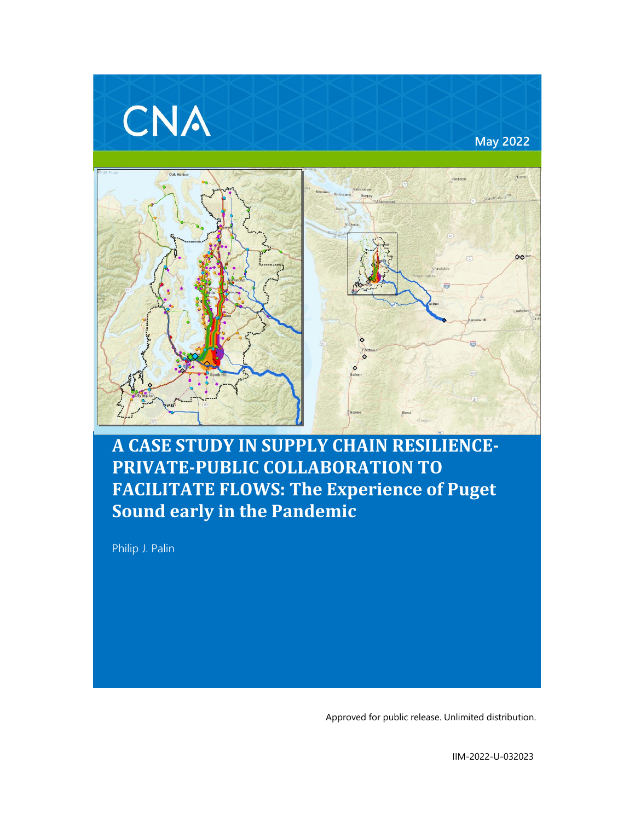

### **A CASE STUDY IN SUPPLY CHAIN RESILIENCE-PRIVATE-PUBLIC COLLABORATION TO FACILITATE FLOWS: The Experience of Puget Sound early in the Pandemic**

Philip J. Palin

[Approved for public release. Unlimited distribution.](#page-1-0)

IIM-2022-U-032023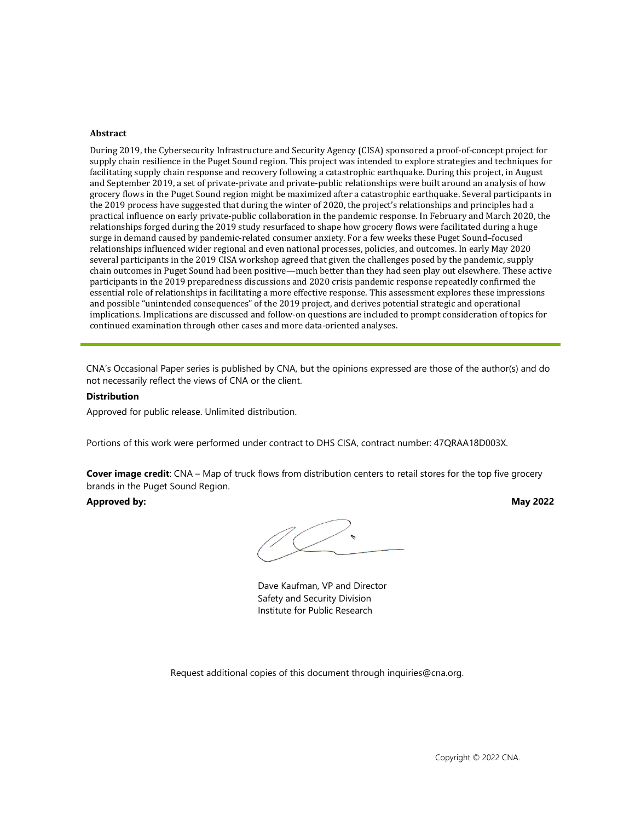#### **Abstract**

During 2019, the Cybersecurity Infrastructure and Security Agency (CISA) sponsored a proof-of-concept project for supply chain resilience in the Puget Sound region. This project was intended to explore strategies and techniques for facilitating supply chain response and recovery following a catastrophic earthquake. During this project, in August and September 2019, a set of private-private and private-public relationships were built around an analysis of how grocery flows in the Puget Sound region might be maximized after a catastrophic earthquake. Several participants in the 2019 process have suggested that during the winter of 2020, the project's relationships and principles had a practical influence on early private-public collaboration in the pandemic response. In February and March 2020, the relationships forged during the 2019 study resurfaced to shape how grocery flows were facilitated during a huge surge in demand caused by pandemic-related consumer anxiety. For a few weeks these Puget Sound–focused relationships influenced wider regional and even national processes, policies, and outcomes. In early May 2020 several participants in the 2019 CISA workshop agreed that given the challenges posed by the pandemic, supply chain outcomes in Puget Sound had been positive—much better than they had seen play out elsewhere. These active participants in the 2019 preparedness discussions and 2020 crisis pandemic response repeatedly confirmed the essential role of relationships in facilitating a more effective response. This assessment explores these impressions and possible "unintended consequences" of the 2019 project, and derives potential strategic and operational implications. Implications are discussed and follow-on questions are included to prompt consideration of topics for continued examination through other cases and more data-oriented analyses.

CNA's Occasional Paper series is published by CNA, but the opinions expressed are those of the author(s) and do not necessarily reflect the views of CNA or the client.

#### **Distribution**

<span id="page-1-0"></span>Approved for public release. Unlimited distribution.

Portions of this work were performed under contract to DHS CISA, contract number: 47QRAA18D003X.

**Cover image credit**: CNA – Map of truck flows from distribution centers to retail stores for the top five grocery brands in the Puget Sound Region.

**Approved by: May 2022**

Dave Kaufman, VP and Director Safety and Security Division Institute for Public Research

Request additional copies of this document through inquiries@cna.org.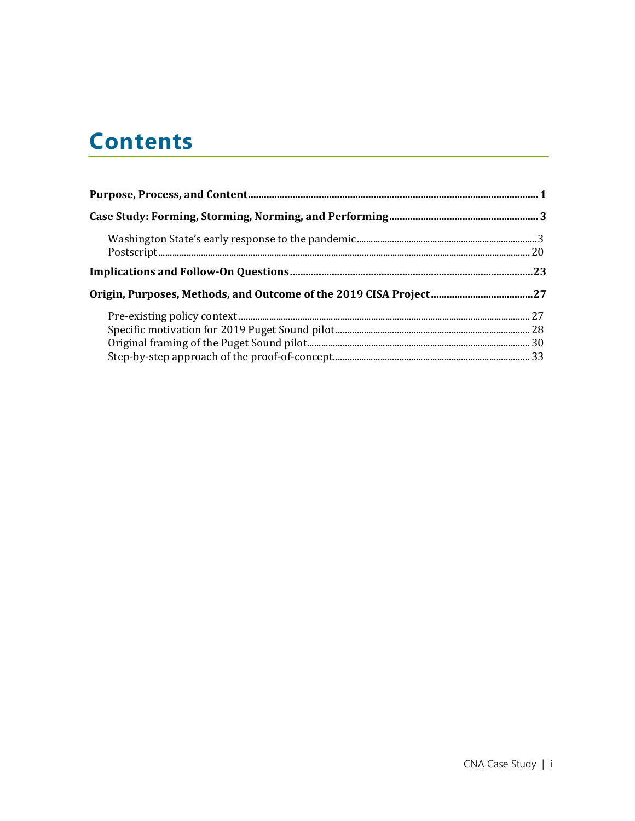# **Contents**

<span id="page-2-0"></span>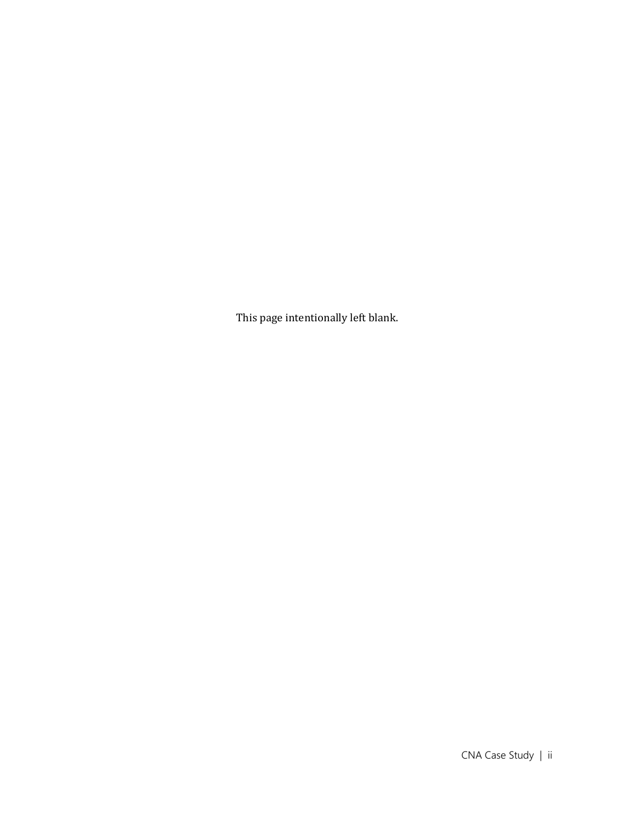This page intentionally left blank.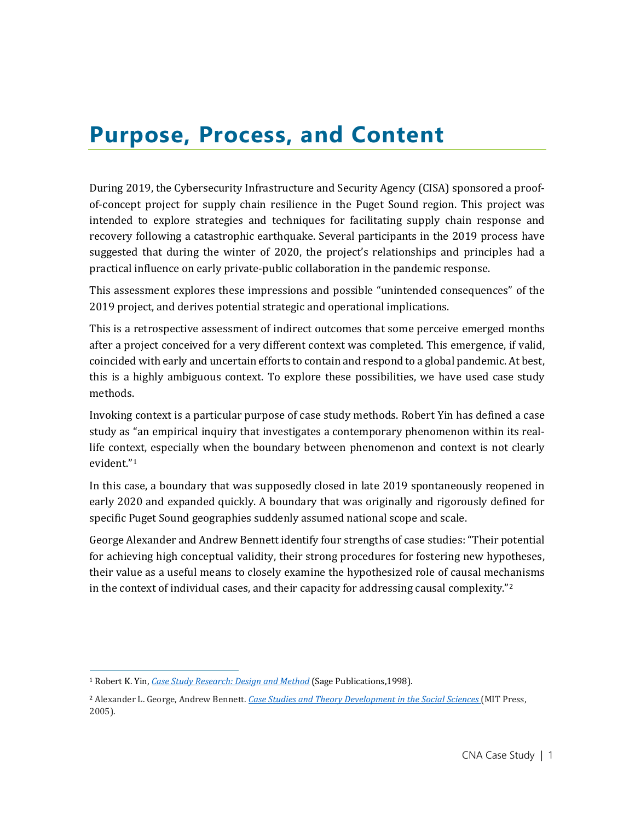## <span id="page-4-0"></span>**Purpose, Process, and Content**

During 2019, the Cybersecurity Infrastructure and Security Agency (CISA) sponsored a proofof-concept project for supply chain resilience in the Puget Sound region. This project was intended to explore strategies and techniques for facilitating supply chain response and recovery following a catastrophic earthquake. Several participants in the 2019 process have suggested that during the winter of 2020, the project's relationships and principles had a practical influence on early private-public collaboration in the pandemic response.

This assessment explores these impressions and possible "unintended consequences" of the 2019 project, and derives potential strategic and operational implications.

This is a retrospective assessment of indirect outcomes that some perceive emerged months after a project conceived for a very different context was completed. This emergence, if valid, coincided with early and uncertain efforts to contain and respond to a global pandemic. At best, this is a highly ambiguous context. To explore these possibilities, we have used case study methods.

Invoking context is a particular purpose of case study methods. Robert Yin has defined a case study as "an empirical inquiry that investigates a contemporary phenomenon within its reallife context, especially when the boundary between phenomenon and context is not clearly evident."[1](#page-4-1)

In this case, a boundary that was supposedly closed in late 2019 spontaneously reopened in early 2020 and expanded quickly. A boundary that was originally and rigorously defined for specific Puget Sound geographies suddenly assumed national scope and scale.

George Alexander and Andrew Bennett identify four strengths of case studies: "Their potential for achieving high conceptual validity, their strong procedures for fostering new hypotheses, their value as a useful means to closely examine the hypothesized role of causal mechanisms in the context of individual cases, and their capacity for addressing causal complexity."[2](#page-4-2)

<span id="page-4-1"></span><sup>1</sup> Robert K. Yin, *[Case Study Research: Design and Method](https://us.sagepub.com/en-us/nam/case-study-research-and-applications/book250150)* (Sage Publications,1998).

<span id="page-4-2"></span><sup>2</sup> Alexander L. George, Andrew Bennett. *[Case Studies and Theory Development in the Social Sciences](http://worldcat.org/oclc/944521872)* (MIT Press, 2005).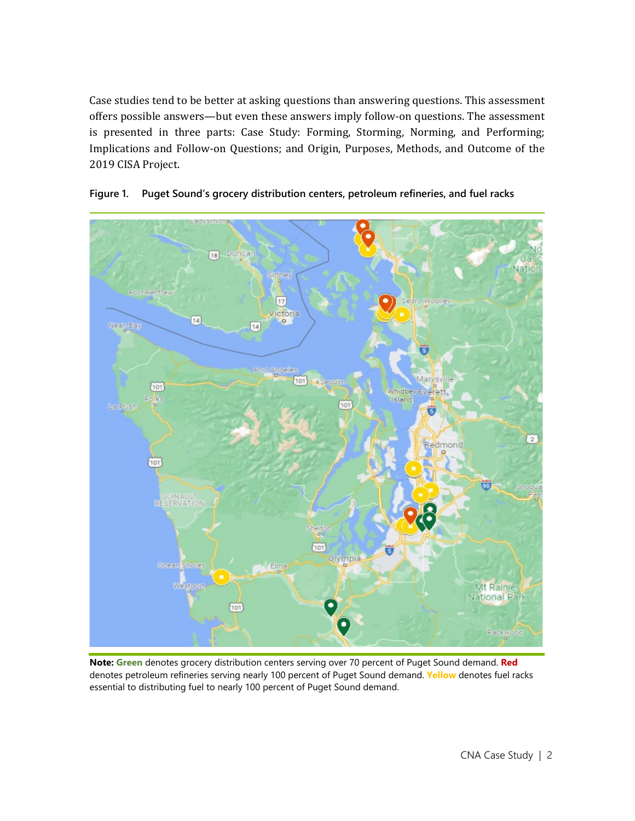Case studies tend to be better at asking questions than answering questions. This assessment offers possible answers—but even these answers imply follow-on questions. The assessment is presented in three parts: Case Study: Forming, Storming, Norming, and Performing; Implications and Follow-on Questions; and Origin, Purposes, Methods, and Outcome of the 2019 CISA Project.





**Note: Green** denotes grocery distribution centers serving over 70 percent of Puget Sound demand. **Red**  denotes petroleum refineries serving nearly 100 percent of Puget Sound demand. **Yellow** denotes fuel racks essential to distributing fuel to nearly 100 percent of Puget Sound demand.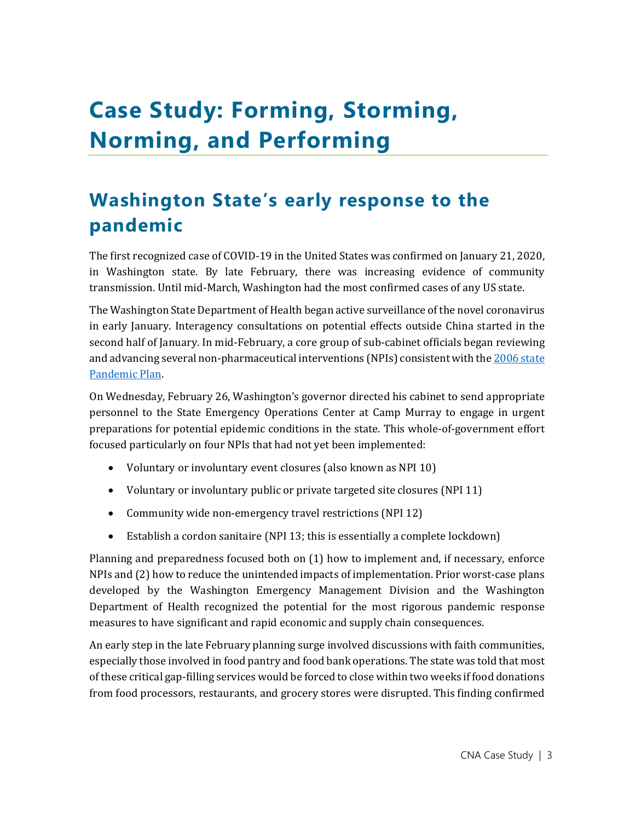# <span id="page-6-0"></span>**Case Study: Forming, Storming, Norming, and Performing**

## <span id="page-6-1"></span>**Washington State's early response to the pandemic**

The first recognized case of COVID-19 in the United States was confirmed on January 21, 2020, in Washington state. By late February, there was increasing evidence of community transmission. Until mid-March, Washington had the most confirmed cases of any US state.

The Washington State Department of Health began active surveillance of the novel coronavirus in early January. Interagency consultations on potential effects outside China started in the second half of January. In mid-February, a core group of sub-cabinet officials began reviewing and advancing several non-pharmaceutical interventions (NPIs) consistent with th[e 2006 state](https://www.doh.wa.gov/Portals/1/Documents/1400/PanfluStateAgencyGuide.pdf)  [Pandemic Plan.](https://www.doh.wa.gov/Portals/1/Documents/1400/PanfluStateAgencyGuide.pdf)

On Wednesday, February 26, Washington's governor directed his cabinet to send appropriate personnel to the State Emergency Operations Center at Camp Murray to engage in urgent preparations for potential epidemic conditions in the state. This whole-of-government effort focused particularly on four NPIs that had not yet been implemented:

- Voluntary or involuntary event closures (also known as NPI 10)
- Voluntary or involuntary public or private targeted site closures (NPI 11)
- Community wide non-emergency travel restrictions (NPI 12)
- Establish a cordon sanitaire (NPI 13; this is essentially a complete lockdown)

Planning and preparedness focused both on (1) how to implement and, if necessary, enforce NPIs and (2) how to reduce the unintended impacts of implementation. Prior worst-case plans developed by the Washington Emergency Management Division and the Washington Department of Health recognized the potential for the most rigorous pandemic response measures to have significant and rapid economic and supply chain consequences.

An early step in the late February planning surge involved discussions with faith communities, especially those involved in food pantry and food bank operations. The state was told that most of these critical gap-filling services would be forced to close within two weeks if food donations from food processors, restaurants, and grocery stores were disrupted. This finding confirmed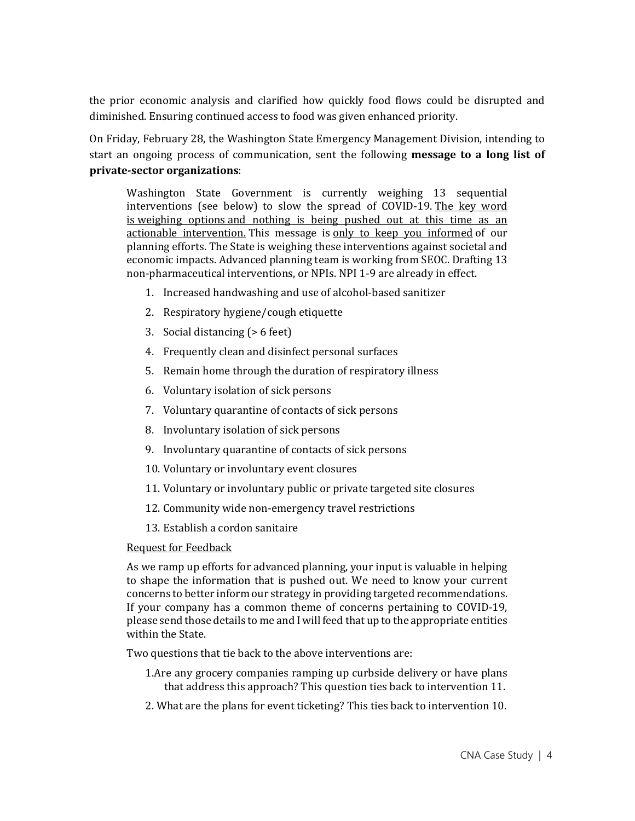the prior economic analysis and clarified how quickly food flows could be disrupted and diminished. Ensuring continued access to food was given enhanced priority.

On Friday, February 28, the Washington State Emergency Management Division, intending to start an ongoing process of communication, sent the following **message to a long list of private-sector organizations**:

Washington State Government is currently weighing 13 sequential interventions (see below) to slow the spread of COVID-19. The key word is weighing options and nothing is being pushed out at this time as an actionable intervention. This message is only to keep you informed of our planning efforts. The State is weighing these interventions against societal and economic impacts. Advanced planning team is working from SEOC. Drafting 13 non-pharmaceutical interventions, or NPIs. NPI 1-9 are already in effect.

- 1. Increased handwashing and use of alcohol-based sanitizer
- 2. Respiratory hygiene/cough etiquette
- 3. Social distancing (> 6 feet)
- 4. Frequently clean and disinfect personal surfaces
- 5. Remain home through the duration of respiratory illness
- 6. Voluntary isolation of sick persons
- 7. Voluntary quarantine of contacts of sick persons
- 8. Involuntary isolation of sick persons
- 9. Involuntary quarantine of contacts of sick persons
- 10. Voluntary or involuntary event closures
- 11. Voluntary or involuntary public or private targeted site closures
- 12. Community wide non-emergency travel restrictions
- 13. Establish a cordon sanitaire

### Request for Feedback

As we ramp up efforts for advanced planning, your input is valuable in helping to shape the information that is pushed out. We need to know your current concerns to better inform our strategy in providing targeted recommendations. If your company has a common theme of concerns pertaining to COVID-19, please send those details to me and I will feed that up to the appropriate entities within the State.

Two questions that tie back to the above interventions are:

- 1.Are any grocery companies ramping up curbside delivery or have plans that address this approach? This question ties back to intervention 11.
- 2. What are the plans for event ticketing? This ties back to intervention 10.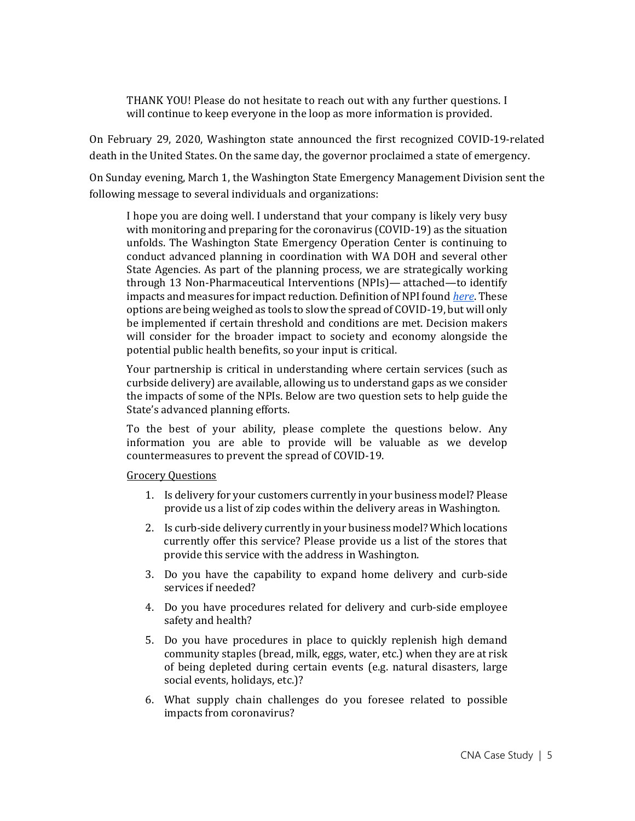THANK YOU! Please do not hesitate to reach out with any further questions. I will continue to keep everyone in the loop as more information is provided.

On February 29, 2020, Washington state announced the first recognized COVID-19-related death in the United States. On the same day, the governor proclaimed a state of emergency.

On Sunday evening, March 1, the Washington State Emergency Management Division sent the following message to several individuals and organizations:

I hope you are doing well. I understand that your company is likely very busy with monitoring and preparing for the coronavirus (COVID-19) as the situation unfolds. The Washington State Emergency Operation Center is continuing to conduct advanced planning in coordination with WA DOH and several other State Agencies. As part of the planning process, we are strategically working through 13 Non-Pharmaceutical Interventions (NPIs)— attached—to identify impacts and measures for impact reduction. Definition of NPI found *[here](https://clicktime.symantec.com/3S4uP9on1tFhvifsMaQuVLt7Vc?u=https%3A%2F%2Fwww.cdc.gov%2Fnonpharmaceutical-interventions%2Findex.html)*. These options are being weighed as tools to slow the spread of COVID-19, but will only be implemented if certain threshold and conditions are met. Decision makers will consider for the broader impact to society and economy alongside the potential public health benefits, so your input is critical.

Your partnership is critical in understanding where certain services (such as curbside delivery) are available, allowing us to understand gaps as we consider the impacts of some of the NPIs. Below are two question sets to help guide the State's advanced planning efforts.

To the best of your ability, please complete the questions below. Any information you are able to provide will be valuable as we develop countermeasures to prevent the spread of COVID-19.

#### Grocery Questions

- 1. Is delivery for your customers currently in your business model? Please provide us a list of zip codes within the delivery areas in Washington.
- 2. Is curb-side delivery currently in your business model? Which locations currently offer this service? Please provide us a list of the stores that provide this service with the address in Washington.
- 3. Do you have the capability to expand home delivery and curb-side services if needed?
- 4. Do you have procedures related for delivery and curb-side employee safety and health?
- 5. Do you have procedures in place to quickly replenish high demand community staples (bread, milk, eggs, water, etc.) when they are at risk of being depleted during certain events (e.g. natural disasters, large social events, holidays, etc.)?
- 6. What supply chain challenges do you foresee related to possible impacts from coronavirus?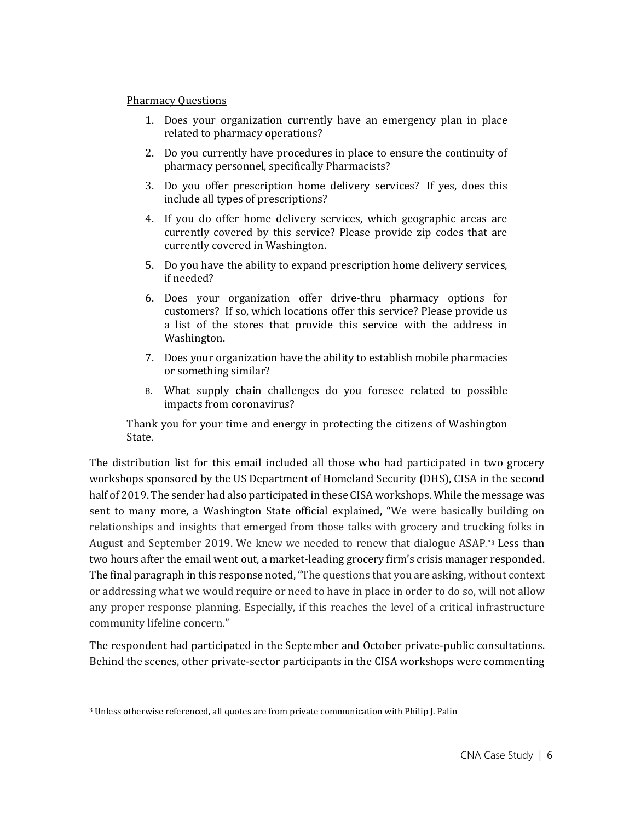#### Pharmacy Questions

- 1. Does your organization currently have an emergency plan in place related to pharmacy operations?
- 2. Do you currently have procedures in place to ensure the continuity of pharmacy personnel, specifically Pharmacists?
- 3. Do you offer prescription home delivery services? If yes, does this include all types of prescriptions?
- 4. If you do offer home delivery services, which geographic areas are currently covered by this service? Please provide zip codes that are currently covered in Washington.
- 5. Do you have the ability to expand prescription home delivery services, if needed?
- 6. Does your organization offer drive-thru pharmacy options for customers? If so, which locations offer this service? Please provide us a list of the stores that provide this service with the address in Washington.
- 7. Does your organization have the ability to establish mobile pharmacies or something similar?
- 8. What supply chain challenges do you foresee related to possible impacts from coronavirus?

Thank you for your time and energy in protecting the citizens of Washington State.

The distribution list for this email included all those who had participated in two grocery workshops sponsored by the US Department of Homeland Security (DHS), CISA in the second half of 2019. The sender had also participated in these CISA workshops. While the message was sent to many more, a Washington State official explained, "We were basically building on relationships and insights that emerged from those talks with grocery and trucking folks in August and September 2019. We knew we needed to renew that dialogue ASAP."[3](#page-9-0) Less than two hours after the email went out, a market-leading grocery firm's crisis manager responded. The final paragraph in this response noted, "The questions that you are asking, without context or addressing what we would require or need to have in place in order to do so, will not allow any proper response planning. Especially, if this reaches the level of a critical infrastructure community lifeline concern."

The respondent had participated in the September and October private-public consultations. Behind the scenes, other private-sector participants in the CISA workshops were commenting

<span id="page-9-0"></span><sup>3</sup> Unless otherwise referenced, all quotes are from private communication with Philip J. Palin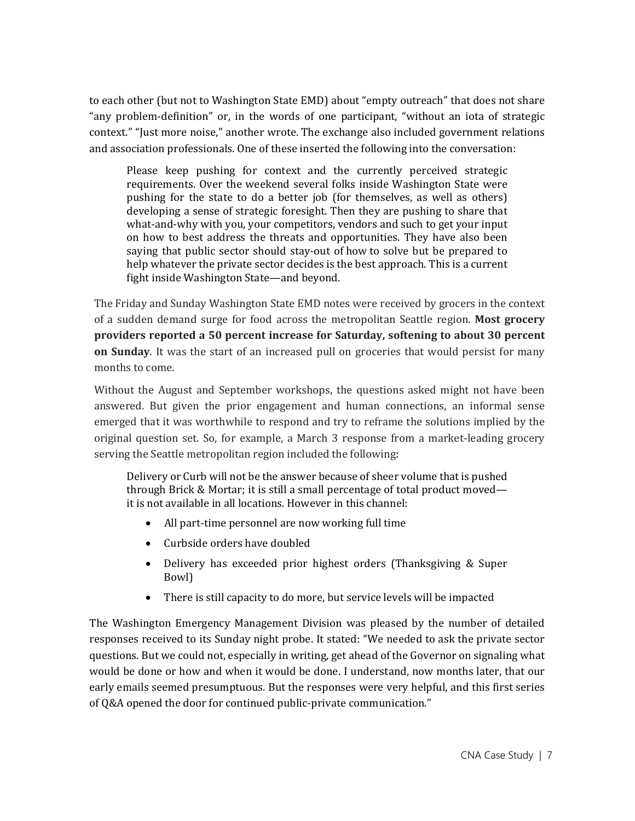to each other (but not to Washington State EMD) about "empty outreach" that does not share "any problem-definition" or, in the words of one participant, "without an iota of strategic context." "Just more noise," another wrote. The exchange also included government relations and association professionals. One of these inserted the following into the conversation:

Please keep pushing for context and the currently perceived strategic requirements. Over the weekend several folks inside Washington State were pushing for the state to do a better job (for themselves, as well as others) developing a sense of strategic foresight. Then they are pushing to share that what-and-why with you, your competitors, vendors and such to get your input on how to best address the threats and opportunities. They have also been saying that public sector should stay-out of how to solve but be prepared to help whatever the private sector decides is the best approach. This is a current fight inside Washington State—and beyond.

The Friday and Sunday Washington State EMD notes were received by grocers in the context of a sudden demand surge for food across the metropolitan Seattle region. **Most grocery providers reported a 50 percent increase for Saturday, softening to about 30 percent on Sunday**. It was the start of an increased pull on groceries that would persist for many months to come.

Without the August and September workshops, the questions asked might not have been answered. But given the prior engagement and human connections, an informal sense emerged that it was worthwhile to respond and try to reframe the solutions implied by the original question set. So, for example, a March 3 response from a market-leading grocery serving the Seattle metropolitan region included the following:

Delivery or Curb will not be the answer because of sheer volume that is pushed through Brick & Mortar; it is still a small percentage of total product moved it is not available in all locations. However in this channel:

- All part-time personnel are now working full time
- Curbside orders have doubled
- Delivery has exceeded prior highest orders (Thanksgiving & Super Bowl)
- There is still capacity to do more, but service levels will be impacted

The Washington Emergency Management Division was pleased by the number of detailed responses received to its Sunday night probe. It stated: "We needed to ask the private sector questions. But we could not, especially in writing, get ahead of the Governor on signaling what would be done or how and when it would be done. I understand, now months later, that our early emails seemed presumptuous. But the responses were very helpful, and this first series of Q&A opened the door for continued public-private communication."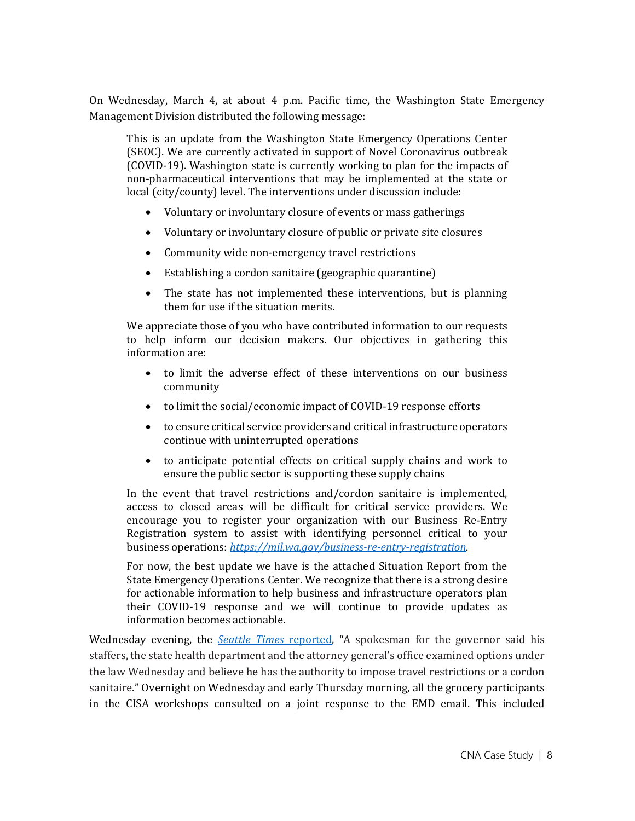On Wednesday, March 4, at about 4 p.m. Pacific time, the Washington State Emergency Management Division distributed the following message:

This is an update from the Washington State Emergency Operations Center (SEOC). We are currently activated in support of Novel Coronavirus outbreak (COVID-19). Washington state is currently working to plan for the impacts of non-pharmaceutical interventions that may be implemented at the state or local (city/county) level. The interventions under discussion include:

- Voluntary or involuntary closure of events or mass gatherings
- Voluntary or involuntary closure of public or private site closures
- Community wide non-emergency travel restrictions
- Establishing a cordon sanitaire (geographic quarantine)
- The state has not implemented these interventions, but is planning them for use if the situation merits.

We appreciate those of you who have contributed information to our requests to help inform our decision makers. Our objectives in gathering this information are:

- to limit the adverse effect of these interventions on our business community
- to limit the social/economic impact of COVID-19 response efforts
- to ensure critical service providers and critical infrastructure operators continue with uninterrupted operations
- to anticipate potential effects on critical supply chains and work to ensure the public sector is supporting these supply chains

In the event that travel restrictions and/cordon sanitaire is implemented, access to closed areas will be difficult for critical service providers. We encourage you to register your organization with our Business Re-Entry Registration system to assist with identifying personnel critical to your business operations: *<https://mil.wa.gov/business-re-entry-registration>*.

For now, the best update we have is the attached Situation Report from the State Emergency Operations Center. We recognize that there is a strong desire for actionable information to help business and infrastructure operators plan their COVID-19 response and we will continue to provide updates as information becomes actionable.

Wednesday evening, the *Seattle Times* reported, "A spokesman for the governor said his staffers, the state health department and the attorney general's office examined options under the law Wednesday and believe he has the authority to impose travel restrictions or a cordon sanitaire." Overnight on Wednesday and early Thursday morning, all the grocery participants in the CISA workshops consulted on a joint response to the EMD email. This included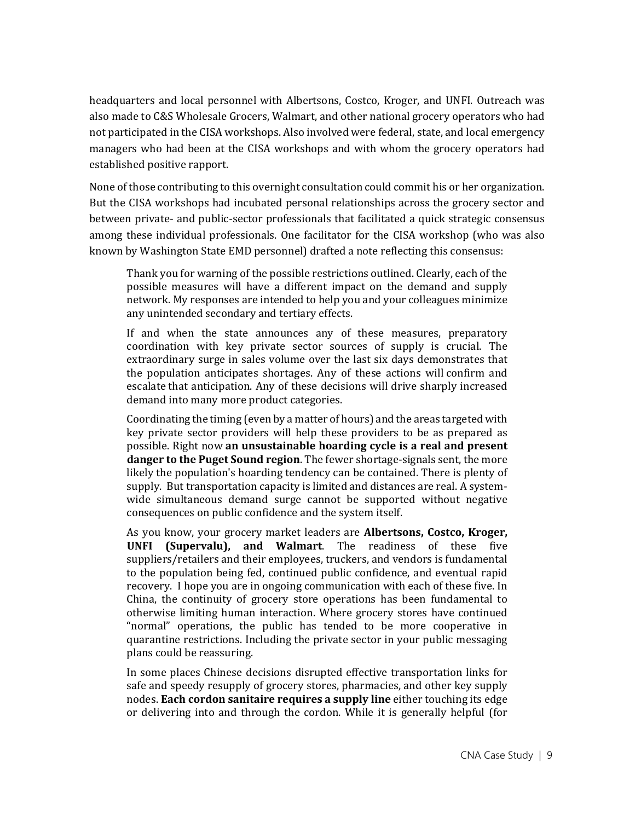headquarters and local personnel with Albertsons, Costco, Kroger, and UNFI. Outreach was also made to C&S Wholesale Grocers, Walmart, and other national grocery operators who had not participated in the CISA workshops. Also involved were federal, state, and local emergency managers who had been at the CISA workshops and with whom the grocery operators had established positive rapport.

None of those contributing to this overnight consultation could commit his or her organization. But the CISA workshops had incubated personal relationships across the grocery sector and between private- and public-sector professionals that facilitated a quick strategic consensus among these individual professionals. One facilitator for the CISA workshop (who was also known by Washington State EMD personnel) drafted a note reflecting this consensus:

Thank you for warning of the possible restrictions outlined. Clearly, each of the possible measures will have a different impact on the demand and supply network. My responses are intended to help you and your colleagues minimize any unintended secondary and tertiary effects.

If and when the state announces any of these measures, preparatory coordination with key private sector sources of supply is crucial. The extraordinary surge in sales volume over the last six days demonstrates that the population anticipates shortages. Any of these actions will confirm and escalate that anticipation. Any of these decisions will drive sharply increased demand into many more product categories.

Coordinating the timing (even by a matter of hours) and the areas targeted with key private sector providers will help these providers to be as prepared as possible. Right now **an unsustainable hoarding cycle is a real and present danger to the Puget Sound region**. The fewer shortage-signals sent, the more likely the population's hoarding tendency can be contained. There is plenty of supply. But transportation capacity is limited and distances are real. A systemwide simultaneous demand surge cannot be supported without negative consequences on public confidence and the system itself.

As you know, your grocery market leaders are **Albertsons, Costco, Kroger, UNFI (Supervalu), and Walmart**. The readiness of these five suppliers/retailers and their employees, truckers, and vendors is fundamental to the population being fed, continued public confidence, and eventual rapid recovery. I hope you are in ongoing communication with each of these five. In China, the continuity of grocery store operations has been fundamental to otherwise limiting human interaction. Where grocery stores have continued "normal" operations, the public has tended to be more cooperative in quarantine restrictions. Including the private sector in your public messaging plans could be reassuring.

In some places Chinese decisions disrupted effective transportation links for safe and speedy resupply of grocery stores, pharmacies, and other key supply nodes. **Each cordon sanitaire requires a supply line** either touching its edge or delivering into and through the cordon. While it is generally helpful (for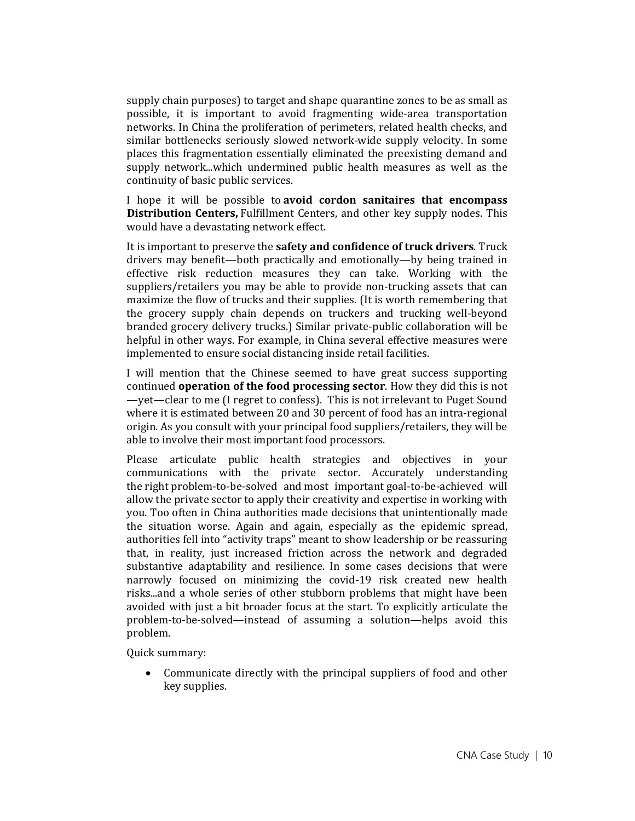supply chain purposes) to target and shape quarantine zones to be as small as possible, it is important to avoid fragmenting wide-area transportation networks. In China the proliferation of perimeters, related health checks, and similar bottlenecks seriously slowed network-wide supply velocity. In some places this fragmentation essentially eliminated the preexisting demand and supply network...which undermined public health measures as well as the continuity of basic public services.

I hope it will be possible to **avoid cordon sanitaires that encompass Distribution Centers,** Fulfillment Centers, and other key supply nodes. This would have a devastating network effect.

It is important to preserve the **safety and confidence of truck drivers**. Truck drivers may benefit—both practically and emotionally—by being trained in effective risk reduction measures they can take. Working with the suppliers/retailers you may be able to provide non-trucking assets that can maximize the flow of trucks and their supplies. (It is worth remembering that the grocery supply chain depends on truckers and trucking well-beyond branded grocery delivery trucks.) Similar private-public collaboration will be helpful in other ways. For example, in China several effective measures were implemented to ensure social distancing inside retail facilities.

I will mention that the Chinese seemed to have great success supporting continued **operation of the food processing sector**. How they did this is not —yet—clear to me (I regret to confess). This is not irrelevant to Puget Sound where it is estimated between 20 and 30 percent of food has an intra-regional origin. As you consult with your principal food suppliers/retailers, they will be able to involve their most important food processors.

Please articulate public health strategies and objectives in your communications with the private sector. Accurately understanding the right problem-to-be-solved and most important goal-to-be-achieved will allow the private sector to apply their creativity and expertise in working with you. Too often in China authorities made decisions that unintentionally made the situation worse. Again and again, especially as the epidemic spread, authorities fell into "activity traps" meant to show leadership or be reassuring that, in reality, just increased friction across the network and degraded substantive adaptability and resilience. In some cases decisions that were narrowly focused on minimizing the covid-19 risk created new health risks...and a whole series of other stubborn problems that might have been avoided with just a bit broader focus at the start. To explicitly articulate the problem-to-be-solved—instead of assuming a solution—helps avoid this problem.

Quick summary:

• Communicate directly with the principal suppliers of food and other key supplies.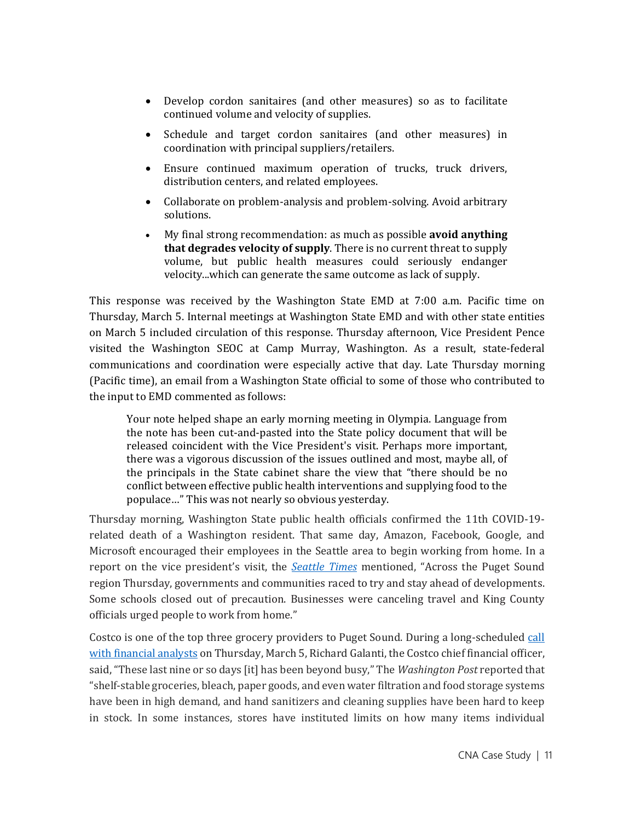- Develop cordon sanitaires (and other measures) so as to facilitate continued volume and velocity of supplies.
- Schedule and target cordon sanitaires (and other measures) in coordination with principal suppliers/retailers.
- Ensure continued maximum operation of trucks, truck drivers, distribution centers, and related employees.
- Collaborate on problem-analysis and problem-solving. Avoid arbitrary solutions.
- My final strong recommendation: as much as possible **avoid anything that degrades velocity of supply**. There is no current threat to supply volume, but public health measures could seriously endanger velocity...which can generate the same outcome as lack of supply.

This response was received by the Washington State EMD at 7:00 a.m. Pacific time on Thursday, March 5. Internal meetings at Washington State EMD and with other state entities on March 5 included circulation of this response. Thursday afternoon, Vice President Pence visited the Washington SEOC at Camp Murray, Washington. As a result, state-federal communications and coordination were especially active that day. Late Thursday morning (Pacific time), an email from a Washington State official to some of those who contributed to the input to EMD commented as follows:

Your note helped shape an early morning meeting in Olympia. Language from the note has been cut-and-pasted into the State policy document that will be released coincident with the Vice President's visit. Perhaps more important, there was a vigorous discussion of the issues outlined and most, maybe all, of the principals in the State cabinet share the view that "there should be no conflict between effective public health interventions and supplying food to the populace…" This was not nearly so obvious yesterday.

Thursday morning, Washington State public health officials confirmed the 11th COVID-19 related death of a Washington resident. That same day, Amazon, Facebook, Google, and Microsoft encouraged their employees in the Seattle area to begin working from home. In a report on the vice president's visit, the *[Seattle Times](https://www.seattletimes.com/seattle-news/politics/vice-president-pence-visits-washington-in-response-to-coronavirus-outbreak-as-partisanship-takes-a-break/)* mentioned, "Across the Puget Sound region Thursday, governments and communities raced to try and stay ahead of developments. Some schools closed out of precaution. Businesses were canceling travel and King County officials urged people to work from home."

Costco is one of the top three grocery providers to Puget Sound. During a long-scheduled call [with financial analysts](https://www.fool.com/earnings/call-transcripts/2020/03/05/costco-wholesale-corp-cost-q2-2020-earnings-call-t.aspx) on Thursday, March 5, Richard Galanti, the Costco chief financial officer, said, "These last nine or so days [it] has been beyond busy," The *Washington Post* reported that "shelf-stable groceries, bleach, paper goods, and even water filtration and food storage systems have been in high demand, and hand sanitizers and cleaning supplies have been hard to keep in stock. In some instances, stores have instituted limits on how many items individual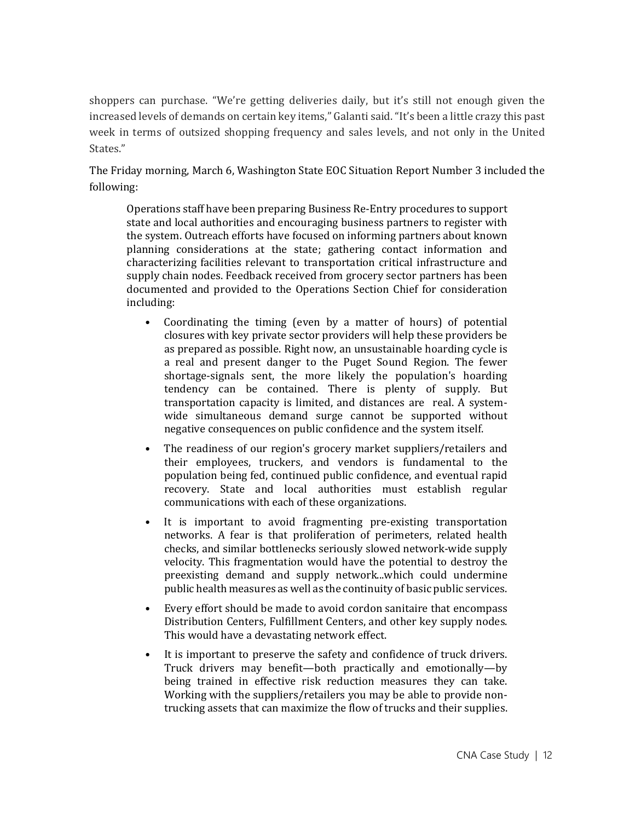shoppers can purchase. "We're getting deliveries daily, but it's still not enough given the increased levels of demands on certain key items," Galanti said. "It's been a little crazy this past week in terms of outsized shopping frequency and sales levels, and not only in the United States."

The Friday morning, March 6, Washington State EOC Situation Report Number 3 included the following:

Operations staff have been preparing Business Re-Entry procedures to support state and local authorities and encouraging business partners to register with the system. Outreach efforts have focused on informing partners about known planning considerations at the state; gathering contact information and characterizing facilities relevant to transportation critical infrastructure and supply chain nodes. Feedback received from grocery sector partners has been documented and provided to the Operations Section Chief for consideration including:

- Coordinating the timing (even by a matter of hours) of potential closures with key private sector providers will help these providers be as prepared as possible. Right now, an unsustainable hoarding cycle is a real and present danger to the Puget Sound Region. The fewer shortage-signals sent, the more likely the population's hoarding tendency can be contained. There is plenty of supply. But transportation capacity is limited, and distances are real. A systemwide simultaneous demand surge cannot be supported without negative consequences on public confidence and the system itself.
- The readiness of our region's grocery market suppliers/retailers and their employees, truckers, and vendors is fundamental to the population being fed, continued public confidence, and eventual rapid recovery. State and local authorities must establish regular communications with each of these organizations.
- It is important to avoid fragmenting pre-existing transportation networks. A fear is that proliferation of perimeters, related health checks, and similar bottlenecks seriously slowed network-wide supply velocity. This fragmentation would have the potential to destroy the preexisting demand and supply network...which could undermine public health measures as well as the continuity of basic public services.
- Every effort should be made to avoid cordon sanitaire that encompass Distribution Centers, Fulfillment Centers, and other key supply nodes. This would have a devastating network effect.
- It is important to preserve the safety and confidence of truck drivers. Truck drivers may benefit—both practically and emotionally—by being trained in effective risk reduction measures they can take. Working with the suppliers/retailers you may be able to provide nontrucking assets that can maximize the flow of trucks and their supplies.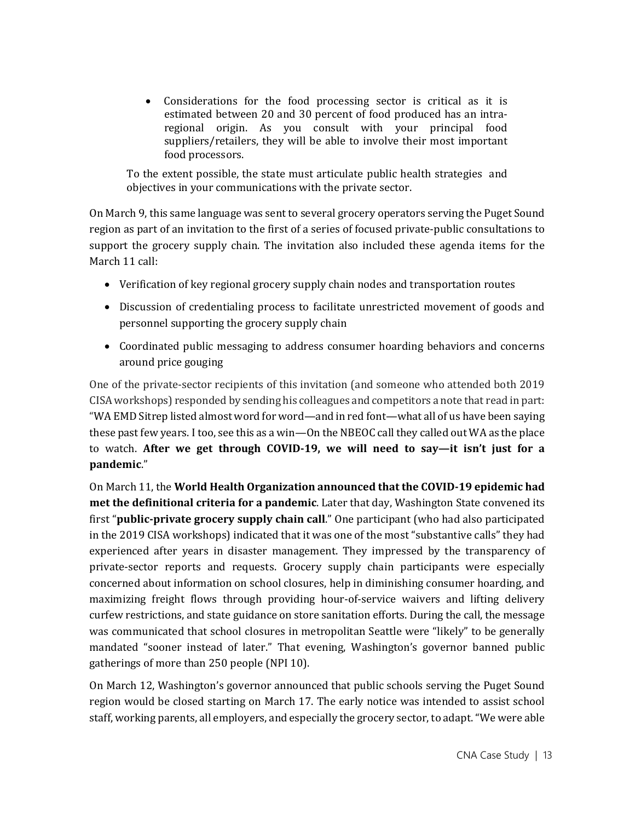• Considerations for the food processing sector is critical as it is estimated between 20 and 30 percent of food produced has an intraregional origin. As you consult with your principal food suppliers/retailers, they will be able to involve their most important food processors.

To the extent possible, the state must articulate public health strategies and objectives in your communications with the private sector.

On March 9, this same language was sent to several grocery operators serving the Puget Sound region as part of an invitation to the first of a series of focused private-public consultations to support the grocery supply chain. The invitation also included these agenda items for the March 11 call:

- Verification of key regional grocery supply chain nodes and transportation routes
- Discussion of credentialing process to facilitate unrestricted movement of goods and personnel supporting the grocery supply chain
- Coordinated public messaging to address consumer hoarding behaviors and concerns around price gouging

One of the private-sector recipients of this invitation (and someone who attended both 2019 CISA workshops) responded by sending his colleagues and competitors a note that read in part: "WA EMD Sitrep listed almost word for word—and in red font—what all of us have been saying these past few years. I too, see this as a win—On the NBEOC call they called out WA as the place to watch. **After we get through COVID-19, we will need to say—it isn't just for a pandemic**."

On March 11, the **World Health Organization announced that the COVID-19 epidemic had met the definitional criteria for a pandemic**. Later that day, Washington State convened its first "**public-private grocery supply chain call**." One participant (who had also participated in the 2019 CISA workshops) indicated that it was one of the most "substantive calls" they had experienced after years in disaster management. They impressed by the transparency of private-sector reports and requests. Grocery supply chain participants were especially concerned about information on school closures, help in diminishing consumer hoarding, and maximizing freight flows through providing hour-of-service waivers and lifting delivery curfew restrictions, and state guidance on store sanitation efforts. During the call, the message was communicated that school closures in metropolitan Seattle were "likely" to be generally mandated "sooner instead of later." That evening, Washington's governor banned public gatherings of more than 250 people (NPI 10).

On March 12, Washington's governor announced that public schools serving the Puget Sound region would be closed starting on March 17. The early notice was intended to assist school staff, working parents, all employers, and especially the grocery sector, to adapt. "We were able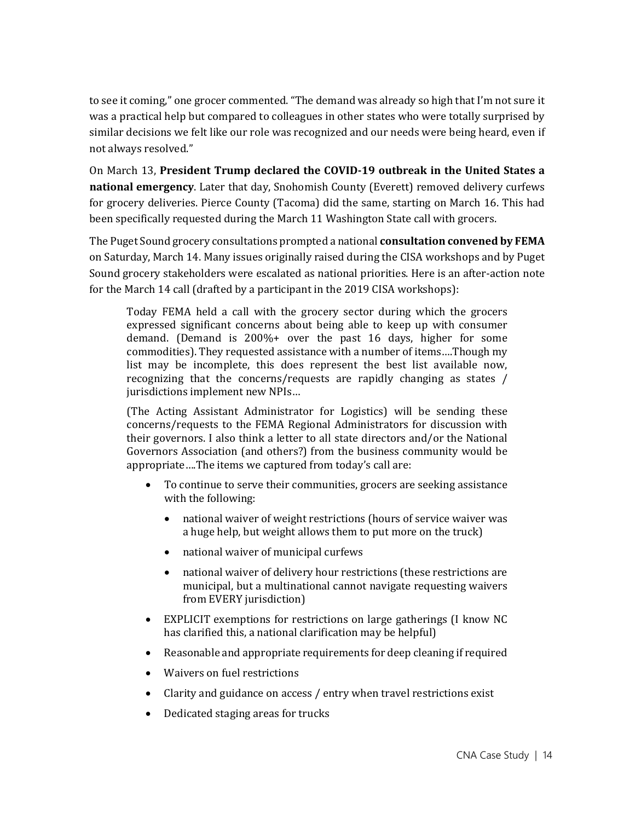to see it coming," one grocer commented. "The demand was already so high that I'm not sure it was a practical help but compared to colleagues in other states who were totally surprised by similar decisions we felt like our role was recognized and our needs were being heard, even if not always resolved."

On March 13, **President Trump declared the COVID-19 outbreak in the United States a national emergency**. Later that day, Snohomish County (Everett) removed delivery curfews for grocery deliveries. Pierce County (Tacoma) did the same, starting on March 16. This had been specifically requested during the March 11 Washington State call with grocers.

The Puget Sound grocery consultations prompted a national **consultation convened by FEMA** on Saturday, March 14. Many issues originally raised during the CISA workshops and by Puget Sound grocery stakeholders were escalated as national priorities. Here is an after-action note for the March 14 call (drafted by a participant in the 2019 CISA workshops):

Today FEMA held a call with the grocery sector during which the grocers expressed significant concerns about being able to keep up with consumer demand. (Demand is 200%+ over the past 16 days, higher for some commodities). They requested assistance with a number of items….Though my list may be incomplete, this does represent the best list available now, recognizing that the concerns/requests are rapidly changing as states / jurisdictions implement new NPIs…

(The Acting Assistant Administrator for Logistics) will be sending these concerns/requests to the FEMA Regional Administrators for discussion with their governors. I also think a letter to all state directors and/or the National Governors Association (and others?) from the business community would be appropriate….The items we captured from today's call are:

- To continue to serve their communities, grocers are seeking assistance with the following:
	- national waiver of weight restrictions (hours of service waiver was a huge help, but weight allows them to put more on the truck)
	- national waiver of municipal curfews
	- national waiver of delivery hour restrictions (these restrictions are municipal, but a multinational cannot navigate requesting waivers from EVERY jurisdiction)
- EXPLICIT exemptions for restrictions on large gatherings (I know NC has clarified this, a national clarification may be helpful)
- Reasonable and appropriate requirements for deep cleaning if required
- Waivers on fuel restrictions
- Clarity and guidance on access / entry when travel restrictions exist
- Dedicated staging areas for trucks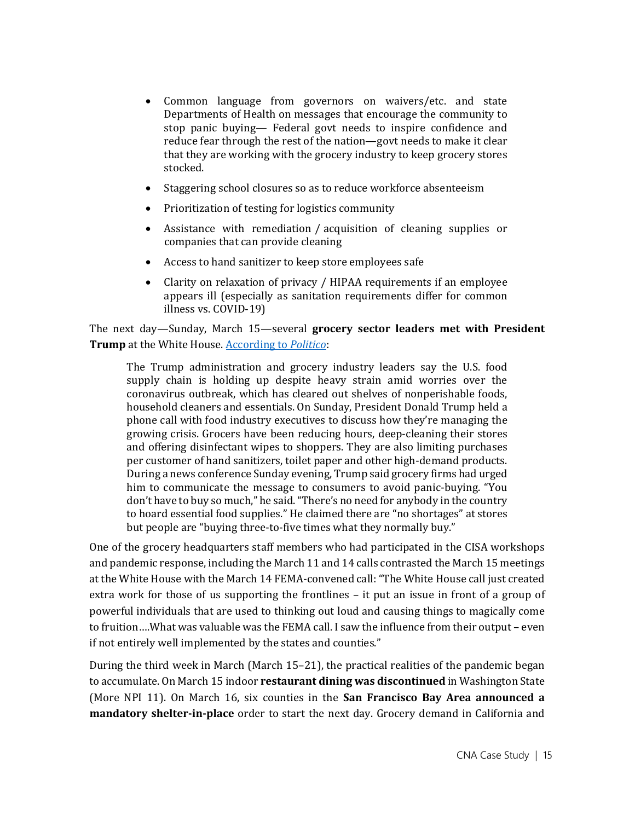- Common language from governors on waivers/etc. and state Departments of Health on messages that encourage the community to stop panic buying— Federal govt needs to inspire confidence and reduce fear through the rest of the nation—govt needs to make it clear that they are working with the grocery industry to keep grocery stores stocked.
- Staggering school closures so as to reduce workforce absenteeism
- Prioritization of testing for logistics community
- Assistance with remediation / acquisition of cleaning supplies or companies that can provide cleaning
- Access to hand sanitizer to keep store employees safe
- Clarity on relaxation of privacy / HIPAA requirements if an employee appears ill (especially as sanitation requirements differ for common illness vs. COVID-19)

The next day—Sunday, March 15—several **grocery sector leaders met with President Trump** at the White House. [According to](https://www.politico.com/news/2020/03/15/trump-no-hoarding-coronavirus-grocery-stores-130771) *Politico*:

The Trump administration and grocery industry leaders say the U.S. food supply chain is holding up despite heavy strain amid worries over the coronavirus outbreak, which has cleared out shelves of nonperishable foods, household cleaners and essentials. On Sunday, President Donald Trump held a phone call with food industry executives to discuss how they're managing the growing crisis. Grocers have been reducing hours, deep-cleaning their stores and offering disinfectant wipes to shoppers. They are also limiting purchases per customer of hand sanitizers, toilet paper and other high-demand products. During a news conference Sunday evening, Trump said grocery firms had urged him to communicate the message to consumers to avoid panic-buying. "You don't have to buy so much," he said. "There's no need for anybody in the country to hoard essential food supplies." He claimed there are "no shortages" at stores but people are "buying three-to-five times what they normally buy."

One of the grocery headquarters staff members who had participated in the CISA workshops and pandemic response, including the March 11 and 14 calls contrasted the March 15 meetings at the White House with the March 14 FEMA-convened call: "The White House call just created extra work for those of us supporting the frontlines – it put an issue in front of a group of powerful individuals that are used to thinking out loud and causing things to magically come to fruition….What was valuable was the FEMA call. I saw the influence from their output – even if not entirely well implemented by the states and counties."

During the third week in March (March 15–21), the practical realities of the pandemic began to accumulate. On March 15 indoor **restaurant dining was discontinued** in Washington State (More NPI 11). On March 16, six counties in the **San Francisco Bay Area announced a mandatory shelter-in-place** order to start the next day. Grocery demand in California and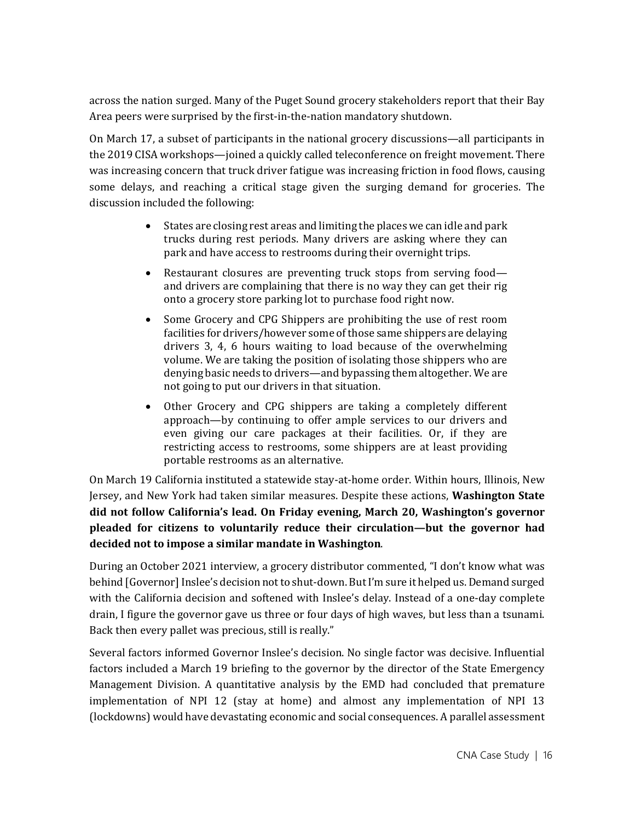across the nation surged. Many of the Puget Sound grocery stakeholders report that their Bay Area peers were surprised by the first-in-the-nation mandatory shutdown.

On March 17, a subset of participants in the national grocery discussions—all participants in the 2019 CISA workshops—joined a quickly called teleconference on freight movement. There was increasing concern that truck driver fatigue was increasing friction in food flows, causing some delays, and reaching a critical stage given the surging demand for groceries. The discussion included the following:

- States are closing rest areas and limiting the places we can idle and park trucks during rest periods. Many drivers are asking where they can park and have access to restrooms during their overnight trips.
- Restaurant closures are preventing truck stops from serving food and drivers are complaining that there is no way they can get their rig onto a grocery store parking lot to purchase food right now.
- Some Grocery and CPG Shippers are prohibiting the use of rest room facilities for drivers/however some of those same shippers are delaying drivers 3, 4, 6 hours waiting to load because of the overwhelming volume. We are taking the position of isolating those shippers who are denying basic needs to drivers—and bypassing them altogether. We are not going to put our drivers in that situation.
- Other Grocery and CPG shippers are taking a completely different approach—by continuing to offer ample services to our drivers and even giving our care packages at their facilities. Or, if they are restricting access to restrooms, some shippers are at least providing portable restrooms as an alternative.

On March 19 California instituted a statewide stay-at-home order. Within hours, Illinois, New Jersey, and New York had taken similar measures. Despite these actions, **Washington State did not follow California's lead. On Friday evening, March 20, Washington's governor pleaded for citizens to voluntarily reduce their circulation—but the governor had decided not to impose a similar mandate in Washington**.

During an October 2021 interview, a grocery distributor commented, "I don't know what was behind [Governor] Inslee's decision not to shut-down. But I'm sure it helped us. Demand surged with the California decision and softened with Inslee's delay. Instead of a one-day complete drain, I figure the governor gave us three or four days of high waves, but less than a tsunami. Back then every pallet was precious, still is really."

Several factors informed Governor Inslee's decision. No single factor was decisive. Influential factors included a March 19 briefing to the governor by the director of the State Emergency Management Division. A quantitative analysis by the EMD had concluded that premature implementation of NPI 12 (stay at home) and almost any implementation of NPI 13 (lockdowns) would have devastating economic and social consequences. A parallel assessment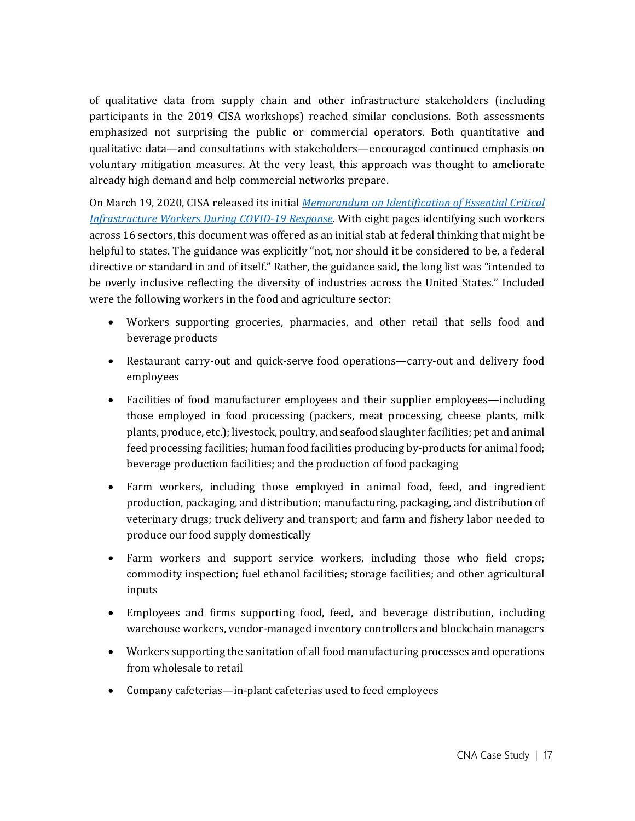of qualitative data from supply chain and other infrastructure stakeholders (including participants in the 2019 CISA workshops) reached similar conclusions. Both assessments emphasized not surprising the public or commercial operators. Both quantitative and qualitative data—and consultations with stakeholders—encouraged continued emphasis on voluntary mitigation measures. At the very least, this approach was thought to ameliorate already high demand and help commercial networks prepare.

On March 19, 2020, CISA released its initial *[Memorandum on Identification of Essential Critical](https://www.cisa.gov/publication/guidance-essential-critical-infrastructure-workforce)  [Infrastructure Workers During COVID-19 Response.](https://www.cisa.gov/publication/guidance-essential-critical-infrastructure-workforce)* With eight pages identifying such workers across 16 sectors, this document was offered as an initial stab at federal thinking that might be helpful to states. The guidance was explicitly "not, nor should it be considered to be, a federal directive or standard in and of itself." Rather, the guidance said, the long list was "intended to be overly inclusive reflecting the diversity of industries across the United States." Included were the following workers in the food and agriculture sector:

- Workers supporting groceries, pharmacies, and other retail that sells food and beverage products
- Restaurant carry-out and quick-serve food operations—carry-out and delivery food employees
- Facilities of food manufacturer employees and their supplier employees—including those employed in food processing (packers, meat processing, cheese plants, milk plants, produce, etc.); livestock, poultry, and seafood slaughter facilities; pet and animal feed processing facilities; human food facilities producing by-products for animal food; beverage production facilities; and the production of food packaging
- Farm workers, including those employed in animal food, feed, and ingredient production, packaging, and distribution; manufacturing, packaging, and distribution of veterinary drugs; truck delivery and transport; and farm and fishery labor needed to produce our food supply domestically
- Farm workers and support service workers, including those who field crops; commodity inspection; fuel ethanol facilities; storage facilities; and other agricultural inputs
- Employees and firms supporting food, feed, and beverage distribution, including warehouse workers, vendor-managed inventory controllers and blockchain managers
- Workers supporting the sanitation of all food manufacturing processes and operations from wholesale to retail
- Company cafeterias—in-plant cafeterias used to feed employees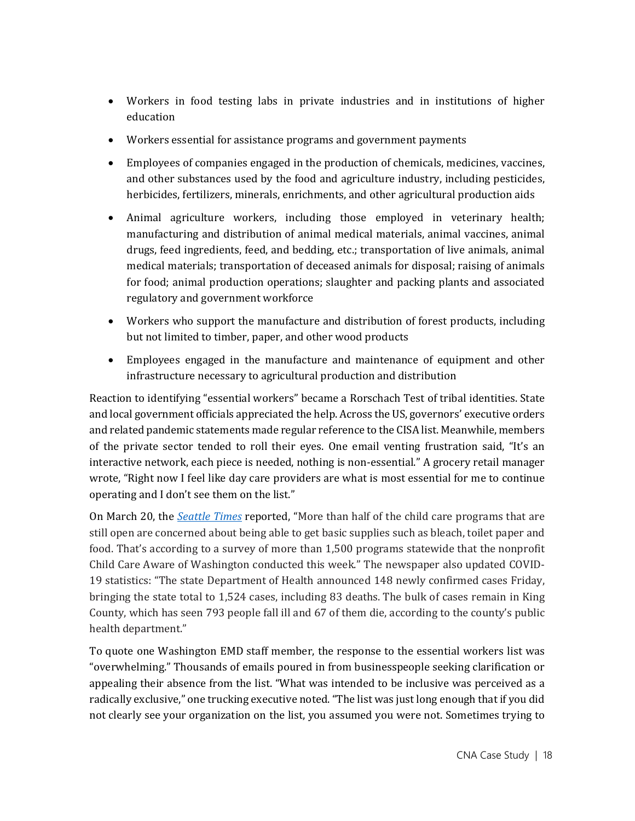- Workers in food testing labs in private industries and in institutions of higher education
- Workers essential for assistance programs and government payments
- Employees of companies engaged in the production of chemicals, medicines, vaccines, and other substances used by the food and agriculture industry, including pesticides, herbicides, fertilizers, minerals, enrichments, and other agricultural production aids
- Animal agriculture workers, including those employed in veterinary health; manufacturing and distribution of animal medical materials, animal vaccines, animal drugs, feed ingredients, feed, and bedding, etc.; transportation of live animals, animal medical materials; transportation of deceased animals for disposal; raising of animals for food; animal production operations; slaughter and packing plants and associated regulatory and government workforce
- Workers who support the manufacture and distribution of forest products, including but not limited to timber, paper, and other wood products
- Employees engaged in the manufacture and maintenance of equipment and other infrastructure necessary to agricultural production and distribution

Reaction to identifying "essential workers" became a Rorschach Test of tribal identities. State and local government officials appreciated the help. Across the US, governors' executive orders and related pandemic statements made regular reference to the CISA list. Meanwhile, members of the private sector tended to roll their eyes. One email venting frustration said, "It's an interactive network, each piece is needed, nothing is non-essential." A grocery retail manager wrote, "Right now I feel like day care providers are what is most essential for me to continue operating and I don't see them on the list."

On March 20, the *[Seattle Times](https://www.seattletimes.com/seattle-news/health/coronavirus-daily-news-updates-march-20-what-to-know-today-about-covid-19-in-the-seattle-area-washington-state-and-the-nation/)* reported, "More than half of the child care programs that are still open are concerned about being able to get basic supplies such as bleach, toilet paper and food. That's according to a survey of more than 1,500 programs statewide that the nonprofit Child Care Aware of Washington conducted this week." The newspaper also updated COVID-19 statistics: "The state Department of Health announced 148 newly confirmed cases Friday, bringing the state total to 1,524 cases, including 83 deaths. The bulk of cases remain in King County, which has seen 793 people fall ill and 67 of them die, according to the county's public health department."

To quote one Washington EMD staff member, the response to the essential workers list was "overwhelming." Thousands of emails poured in from businesspeople seeking clarification or appealing their absence from the list. "What was intended to be inclusive was perceived as a radically exclusive," one trucking executive noted. "The list was just long enough that if you did not clearly see your organization on the list, you assumed you were not. Sometimes trying to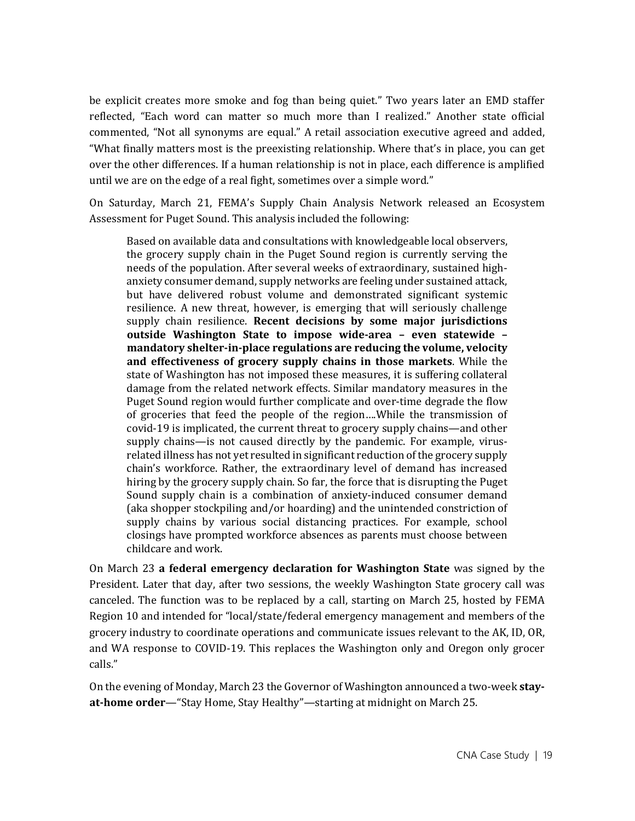be explicit creates more smoke and fog than being quiet." Two years later an EMD staffer reflected, "Each word can matter so much more than I realized." Another state official commented, "Not all synonyms are equal." A retail association executive agreed and added, "What finally matters most is the preexisting relationship. Where that's in place, you can get over the other differences. If a human relationship is not in place, each difference is amplified until we are on the edge of a real fight, sometimes over a simple word."

On Saturday, March 21, FEMA's Supply Chain Analysis Network released an Ecosystem Assessment for Puget Sound. This analysis included the following:

Based on available data and consultations with knowledgeable local observers, the grocery supply chain in the Puget Sound region is currently serving the needs of the population. After several weeks of extraordinary, sustained highanxiety consumer demand, supply networks are feeling under sustained attack, but have delivered robust volume and demonstrated significant systemic resilience. A new threat, however, is emerging that will seriously challenge supply chain resilience. **Recent decisions by some major jurisdictions outside Washington State to impose wide-area – even statewide – mandatory shelter-in-place regulations are reducing the volume, velocity and effectiveness of grocery supply chains in those markets**. While the state of Washington has not imposed these measures, it is suffering collateral damage from the related network effects. Similar mandatory measures in the Puget Sound region would further complicate and over-time degrade the flow of groceries that feed the people of the region….While the transmission of covid-19 is implicated, the current threat to grocery supply chains—and other supply chains—is not caused directly by the pandemic. For example, virusrelated illness has not yet resulted in significant reduction of the grocery supply chain's workforce. Rather, the extraordinary level of demand has increased hiring by the grocery supply chain. So far, the force that is disrupting the Puget Sound supply chain is a combination of anxiety-induced consumer demand (aka shopper stockpiling and/or hoarding) and the unintended constriction of supply chains by various social distancing practices. For example, school closings have prompted workforce absences as parents must choose between childcare and work.

On March 23 **a federal emergency declaration for Washington State** was signed by the President. Later that day, after two sessions, the weekly Washington State grocery call was canceled. The function was to be replaced by a call, starting on March 25, hosted by FEMA Region 10 and intended for "local/state/federal emergency management and members of the grocery industry to coordinate operations and communicate issues relevant to the AK, ID, OR, and WA response to COVID-19. This replaces the Washington only and Oregon only grocer calls."

On the evening of Monday, March 23 the Governor of Washington announced a two-week **stayat-home order**—"Stay Home, Stay Healthy"—starting at midnight on March 25.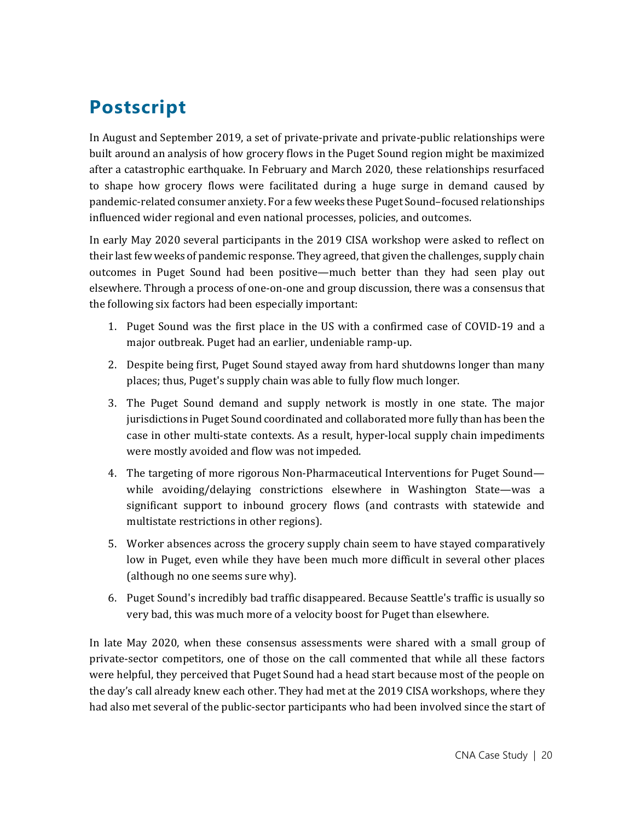### <span id="page-23-0"></span>**Postscript**

In August and September 2019, a set of private-private and private-public relationships were built around an analysis of how grocery flows in the Puget Sound region might be maximized after a catastrophic earthquake. In February and March 2020, these relationships resurfaced to shape how grocery flows were facilitated during a huge surge in demand caused by pandemic-related consumer anxiety. For a few weeks these Puget Sound–focused relationships influenced wider regional and even national processes, policies, and outcomes.

In early May 2020 several participants in the 2019 CISA workshop were asked to reflect on their last few weeks of pandemic response. They agreed, that given the challenges, supply chain outcomes in Puget Sound had been positive—much better than they had seen play out elsewhere. Through a process of one-on-one and group discussion, there was a consensus that the following six factors had been especially important:

- 1. Puget Sound was the first place in the US with a confirmed case of COVID-19 and a major outbreak. Puget had an earlier, undeniable ramp-up.
- 2. Despite being first, Puget Sound stayed away from hard shutdowns longer than many places; thus, Puget's supply chain was able to fully flow much longer.
- 3. The Puget Sound demand and supply network is mostly in one state. The major jurisdictions in Puget Sound coordinated and collaborated more fully than has been the case in other multi-state contexts. As a result, hyper-local supply chain impediments were mostly avoided and flow was not impeded.
- 4. The targeting of more rigorous Non-Pharmaceutical Interventions for Puget Sound while avoiding/delaying constrictions elsewhere in Washington State—was a significant support to inbound grocery flows (and contrasts with statewide and multistate restrictions in other regions).
- 5. Worker absences across the grocery supply chain seem to have stayed comparatively low in Puget, even while they have been much more difficult in several other places (although no one seems sure why).
- 6. Puget Sound's incredibly bad traffic disappeared. Because Seattle's traffic is usually so very bad, this was much more of a velocity boost for Puget than elsewhere.

In late May 2020, when these consensus assessments were shared with a small group of private-sector competitors, one of those on the call commented that while all these factors were helpful, they perceived that Puget Sound had a head start because most of the people on the day's call already knew each other. They had met at the 2019 CISA workshops, where they had also met several of the public-sector participants who had been involved since the start of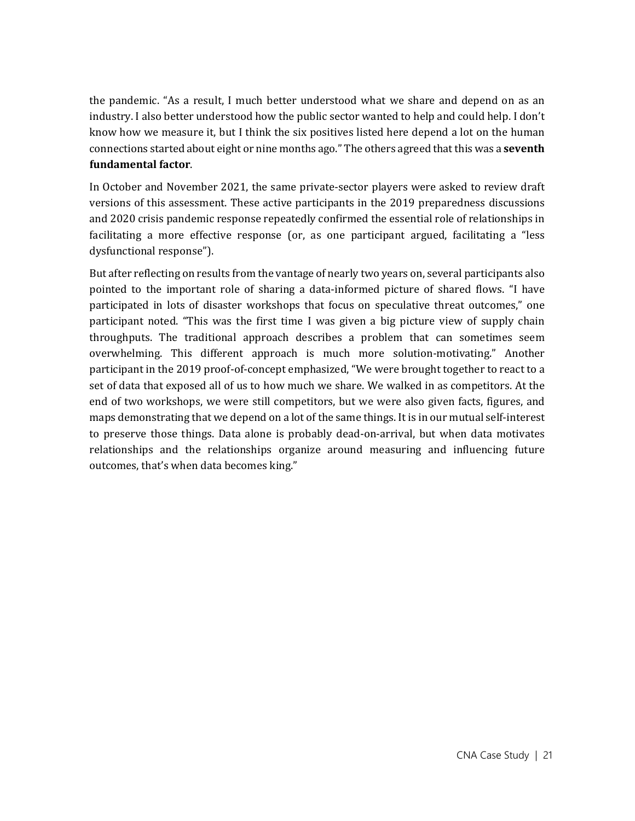the pandemic. "As a result, I much better understood what we share and depend on as an industry. I also better understood how the public sector wanted to help and could help. I don't know how we measure it, but I think the six positives listed here depend a lot on the human connections started about eight or nine months ago." The others agreed that this was a **seventh fundamental factor**.

In October and November 2021, the same private-sector players were asked to review draft versions of this assessment. These active participants in the 2019 preparedness discussions and 2020 crisis pandemic response repeatedly confirmed the essential role of relationships in facilitating a more effective response (or, as one participant argued, facilitating a "less dysfunctional response").

But after reflecting on results from the vantage of nearly two years on, several participants also pointed to the important role of sharing a data-informed picture of shared flows. "I have participated in lots of disaster workshops that focus on speculative threat outcomes," one participant noted. "This was the first time I was given a big picture view of supply chain throughputs. The traditional approach describes a problem that can sometimes seem overwhelming. This different approach is much more solution-motivating." Another participant in the 2019 proof-of-concept emphasized, "We were brought together to react to a set of data that exposed all of us to how much we share. We walked in as competitors. At the end of two workshops, we were still competitors, but we were also given facts, figures, and maps demonstrating that we depend on a lot of the same things. It is in our mutual self-interest to preserve those things. Data alone is probably dead-on-arrival, but when data motivates relationships and the relationships organize around measuring and influencing future outcomes, that's when data becomes king."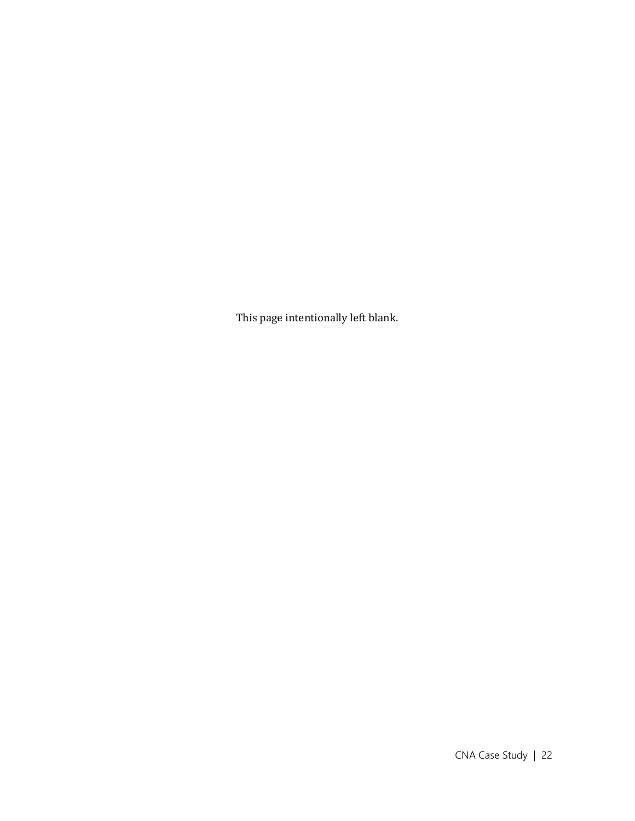This page intentionally left blank.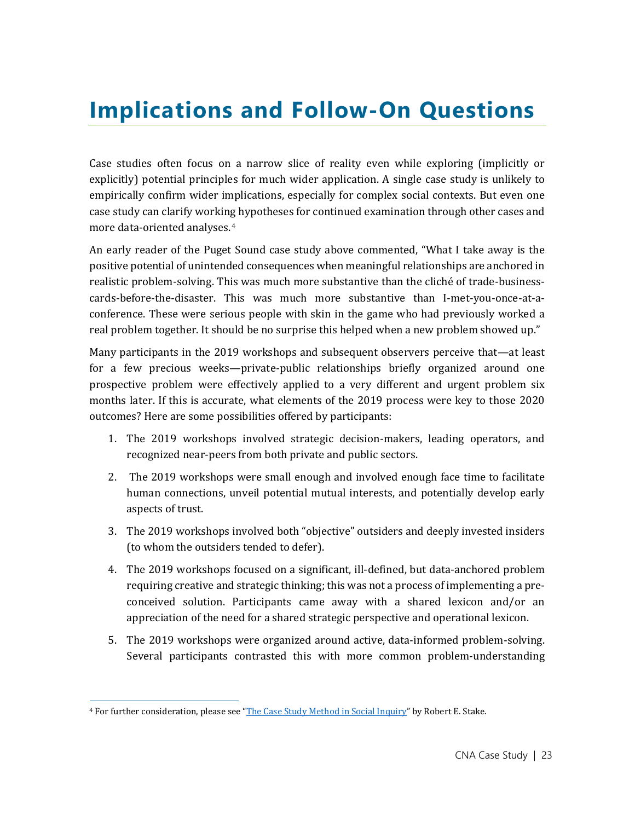# <span id="page-26-0"></span>**Implications and Follow-On Questions**

Case studies often focus on a narrow slice of reality even while exploring (implicitly or explicitly) potential principles for much wider application. A single case study is unlikely to empirically confirm wider implications, especially for complex social contexts. But even one case study can clarify working hypotheses for continued examination through other cases and more data-oriented analyses.[4](#page-26-1)

An early reader of the Puget Sound case study above commented, "What I take away is the positive potential of unintended consequences when meaningful relationships are anchored in realistic problem-solving. This was much more substantive than the cliché of trade-businesscards-before-the-disaster. This was much more substantive than I-met-you-once-at-aconference. These were serious people with skin in the game who had previously worked a real problem together. It should be no surprise this helped when a new problem showed up."

Many participants in the 2019 workshops and subsequent observers perceive that—at least for a few precious weeks—private-public relationships briefly organized around one prospective problem were effectively applied to a very different and urgent problem six months later. If this is accurate, what elements of the 2019 process were key to those 2020 outcomes? Here are some possibilities offered by participants:

- 1. The 2019 workshops involved strategic decision-makers, leading operators, and recognized near-peers from both private and public sectors.
- 2. The 2019 workshops were small enough and involved enough face time to facilitate human connections, unveil potential mutual interests, and potentially develop early aspects of trust.
- 3. The 2019 workshops involved both "objective" outsiders and deeply invested insiders (to whom the outsiders tended to defer).
- 4. The 2019 workshops focused on a significant, ill-defined, but data-anchored problem requiring creative and strategic thinking; this was not a process of implementing a preconceived solution. Participants came away with a shared lexicon and/or an appreciation of the need for a shared strategic perspective and operational lexicon.
- 5. The 2019 workshops were organized around active, data-informed problem-solving. Several participants contrasted this with more common problem-understanding

<span id="page-26-1"></span><sup>&</sup>lt;sup>4</sup> For further consideration, please see ["The Case Study Method in Social Inquiry"](https://journals.sagepub.com/doi/10.3102/0013189X007002005) by Robert E. Stake.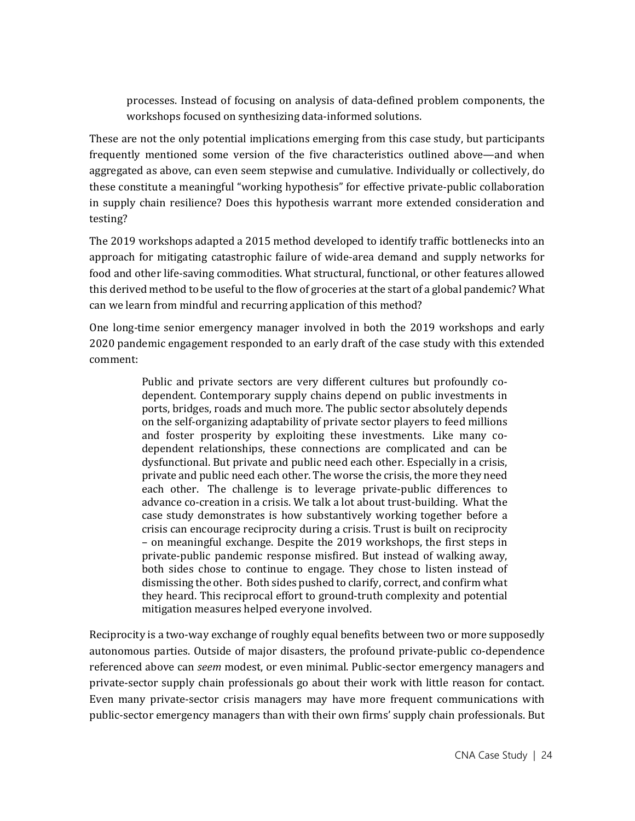processes. Instead of focusing on analysis of data-defined problem components, the workshops focused on synthesizing data-informed solutions.

These are not the only potential implications emerging from this case study, but participants frequently mentioned some version of the five characteristics outlined above—and when aggregated as above, can even seem stepwise and cumulative. Individually or collectively, do these constitute a meaningful "working hypothesis" for effective private-public collaboration in supply chain resilience? Does this hypothesis warrant more extended consideration and testing?

The 2019 workshops adapted a 2015 method developed to identify traffic bottlenecks into an approach for mitigating catastrophic failure of wide-area demand and supply networks for food and other life-saving commodities. What structural, functional, or other features allowed this derived method to be useful to the flow of groceries at the start of a global pandemic? What can we learn from mindful and recurring application of this method?

One long-time senior emergency manager involved in both the 2019 workshops and early 2020 pandemic engagement responded to an early draft of the case study with this extended comment:

> Public and private sectors are very different cultures but profoundly codependent. Contemporary supply chains depend on public investments in ports, bridges, roads and much more. The public sector absolutely depends on the self-organizing adaptability of private sector players to feed millions and foster prosperity by exploiting these investments. Like many codependent relationships, these connections are complicated and can be dysfunctional. But private and public need each other. Especially in a crisis, private and public need each other. The worse the crisis, the more they need each other. The challenge is to leverage private-public differences to advance co-creation in a crisis. We talk a lot about trust-building. What the case study demonstrates is how substantively working together before a crisis can encourage reciprocity during a crisis. Trust is built on reciprocity – on meaningful exchange. Despite the 2019 workshops, the first steps in private-public pandemic response misfired. But instead of walking away, both sides chose to continue to engage. They chose to listen instead of dismissing the other. Both sides pushed to clarify, correct, and confirm what they heard. This reciprocal effort to ground-truth complexity and potential mitigation measures helped everyone involved.

Reciprocity is a two-way exchange of roughly equal benefits between two or more supposedly autonomous parties. Outside of major disasters, the profound private-public co-dependence referenced above can *seem* modest, or even minimal. Public-sector emergency managers and private-sector supply chain professionals go about their work with little reason for contact. Even many private-sector crisis managers may have more frequent communications with public-sector emergency managers than with their own firms' supply chain professionals. But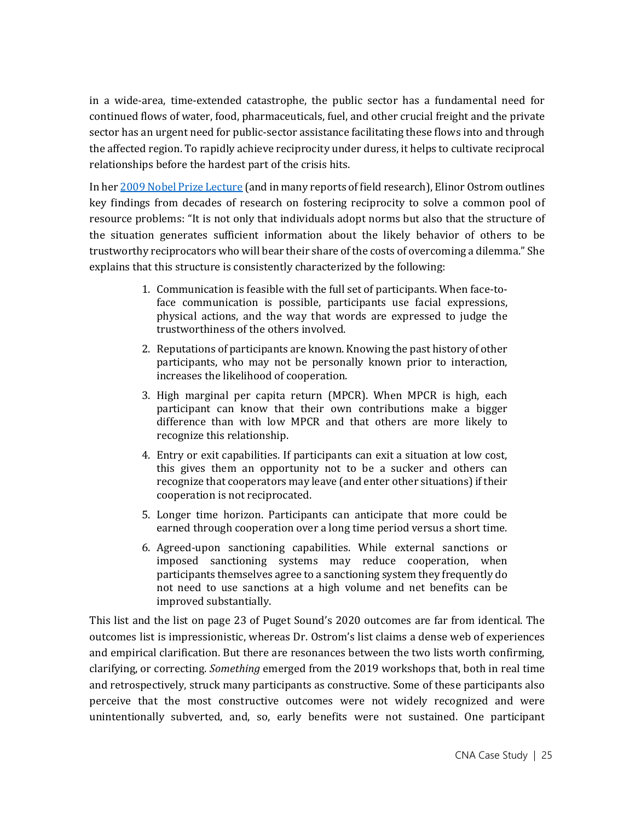in a wide-area, time-extended catastrophe, the public sector has a fundamental need for continued flows of water, food, pharmaceuticals, fuel, and other crucial freight and the private sector has an urgent need for public-sector assistance facilitating these flows into and through the affected region. To rapidly achieve reciprocity under duress, it helps to cultivate reciprocal relationships before the hardest part of the crisis hits.

In her 2009 [Nobel Prize Lecture](https://www.nobelprize.org/uploads/2018/06/ostrom_lecture.pdf) (and in many reports of field research), Elinor Ostrom outlines key findings from decades of research on fostering reciprocity to solve a common pool of resource problems: "It is not only that individuals adopt norms but also that the structure of the situation generates sufficient information about the likely behavior of others to be trustworthy reciprocators who will bear their share of the costs of overcoming a dilemma." She explains that this structure is consistently characterized by the following:

- 1. Communication is feasible with the full set of participants. When face-toface communication is possible, participants use facial expressions, physical actions, and the way that words are expressed to judge the trustworthiness of the others involved.
- 2. Reputations of participants are known. Knowing the past history of other participants, who may not be personally known prior to interaction, increases the likelihood of cooperation.
- 3. High marginal per capita return (MPCR). When MPCR is high, each participant can know that their own contributions make a bigger difference than with low MPCR and that others are more likely to recognize this relationship.
- 4. Entry or exit capabilities. If participants can exit a situation at low cost, this gives them an opportunity not to be a sucker and others can recognize that cooperators may leave (and enter other situations) if their cooperation is not reciprocated.
- 5. Longer time horizon. Participants can anticipate that more could be earned through cooperation over a long time period versus a short time.
- 6. Agreed-upon sanctioning capabilities. While external sanctions or imposed sanctioning systems may reduce cooperation, when participants themselves agree to a sanctioning system they frequently do not need to use sanctions at a high volume and net benefits can be improved substantially.

This list and the list on page 23 of Puget Sound's 2020 outcomes are far from identical. The outcomes list is impressionistic, whereas Dr. Ostrom's list claims a dense web of experiences and empirical clarification. But there are resonances between the two lists worth confirming, clarifying, or correcting. *Something* emerged from the 2019 workshops that, both in real time and retrospectively, struck many participants as constructive. Some of these participants also perceive that the most constructive outcomes were not widely recognized and were unintentionally subverted, and, so, early benefits were not sustained. One participant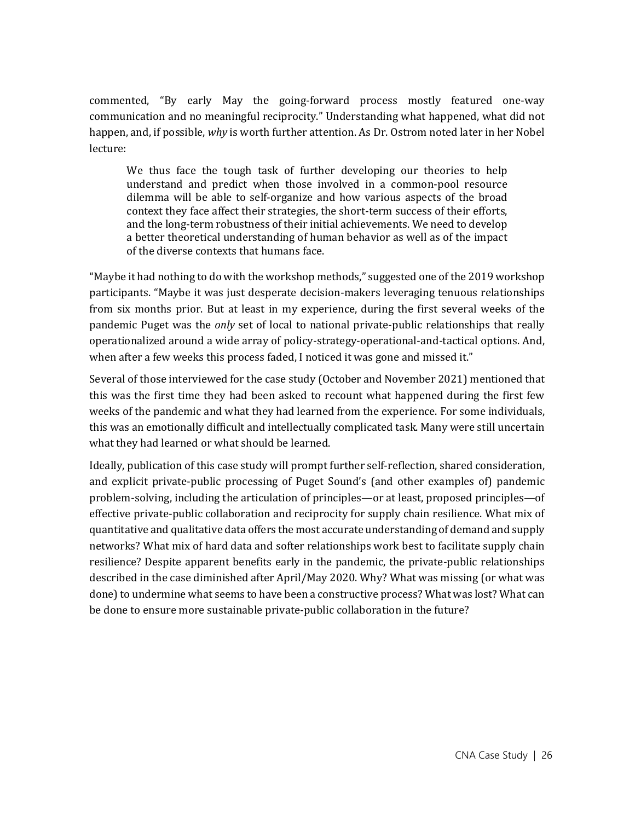commented, "By early May the going-forward process mostly featured one-way communication and no meaningful reciprocity." Understanding what happened, what did not happen, and, if possible, *why* is worth further attention. As Dr. Ostrom noted later in her Nobel lecture:

We thus face the tough task of further developing our theories to help understand and predict when those involved in a common-pool resource dilemma will be able to self-organize and how various aspects of the broad context they face affect their strategies, the short-term success of their efforts, and the long-term robustness of their initial achievements. We need to develop a better theoretical understanding of human behavior as well as of the impact of the diverse contexts that humans face.

"Maybe it had nothing to do with the workshop methods," suggested one of the 2019 workshop participants. "Maybe it was just desperate decision-makers leveraging tenuous relationships from six months prior. But at least in my experience, during the first several weeks of the pandemic Puget was the *only* set of local to national private-public relationships that really operationalized around a wide array of policy-strategy-operational-and-tactical options. And, when after a few weeks this process faded, I noticed it was gone and missed it."

Several of those interviewed for the case study (October and November 2021) mentioned that this was the first time they had been asked to recount what happened during the first few weeks of the pandemic and what they had learned from the experience. For some individuals, this was an emotionally difficult and intellectually complicated task. Many were still uncertain what they had learned or what should be learned.

Ideally, publication of this case study will prompt further self-reflection, shared consideration, and explicit private-public processing of Puget Sound's (and other examples of) pandemic problem-solving, including the articulation of principles—or at least, proposed principles—of effective private-public collaboration and reciprocity for supply chain resilience. What mix of quantitative and qualitative data offers the most accurate understanding of demand and supply networks? What mix of hard data and softer relationships work best to facilitate supply chain resilience? Despite apparent benefits early in the pandemic, the private-public relationships described in the case diminished after April/May 2020. Why? What was missing (or what was done) to undermine what seems to have been a constructive process? What was lost? What can be done to ensure more sustainable private-public collaboration in the future?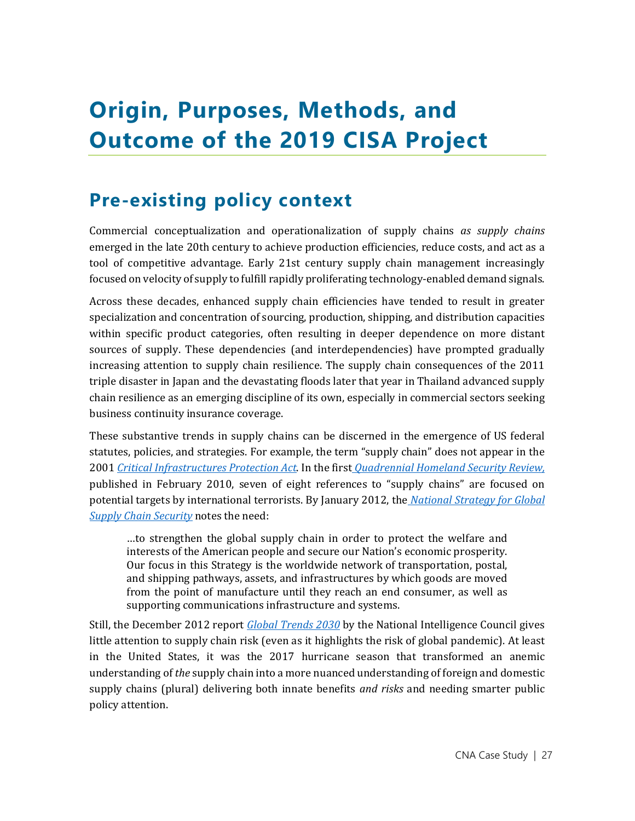# <span id="page-30-0"></span>**Origin, Purposes, Methods, and Outcome of the 2019 CISA Project**

### <span id="page-30-1"></span>**Pre-existing policy context**

Commercial conceptualization and operationalization of supply chains *as supply chains* emerged in the late 20th century to achieve production efficiencies, reduce costs, and act as a tool of competitive advantage. Early 21st century supply chain management increasingly focused on velocity of supply to fulfill rapidly proliferating technology-enabled demand signals.

Across these decades, enhanced supply chain efficiencies have tended to result in greater specialization and concentration of sourcing, production, shipping, and distribution capacities within specific product categories, often resulting in deeper dependence on more distant sources of supply. These dependencies (and interdependencies) have prompted gradually increasing attention to supply chain resilience. The supply chain consequences of the 2011 triple disaster in Japan and the devastating floods later that year in Thailand advanced supply chain resilience as an emerging discipline of its own, especially in commercial sectors seeking business continuity insurance coverage.

These substantive trends in supply chains can be discerned in the emergence of US federal statutes, policies, and strategies. For example, the term "supply chain" does not appear in the 2001 *[Critical Infrastructures Protection Act](https://www.congress.gov/bill/107th-congress/senate-bill/1407/text?r=4&s=1)*. In the first *[Quadrennial Homeland Security Review,](https://www.dhs.gov/sites/default/files/publications/2010-qhsr-report.pdf)* published in February 2010, seven of eight references to "supply chains" are focused on potential targets by international terrorists. By January 2012, the *[National Strategy for Global](https://obamawhitehouse.archives.gov/sites/default/files/national_strategy_for_global_supply_chain_security.pdf)  [Supply Chain Security](https://obamawhitehouse.archives.gov/sites/default/files/national_strategy_for_global_supply_chain_security.pdf)* notes the need:

…to strengthen the global supply chain in order to protect the welfare and interests of the American people and secure our Nation's economic prosperity. Our focus in this Strategy is the worldwide network of transportation, postal, and shipping pathways, assets, and infrastructures by which goods are moved from the point of manufacture until they reach an end consumer, as well as supporting communications infrastructure and systems.

Still, the December 2012 report *[Global Trends 2030](https://www.dni.gov/files/documents/GlobalTrends_2030.pdf)* by the National Intelligence Council gives little attention to supply chain risk (even as it highlights the risk of global pandemic). At least in the United States, it was the 2017 hurricane season that transformed an anemic understanding of *the* supply chain into a more nuanced understanding of foreign and domestic supply chains (plural) delivering both innate benefits *and risks* and needing smarter public policy attention.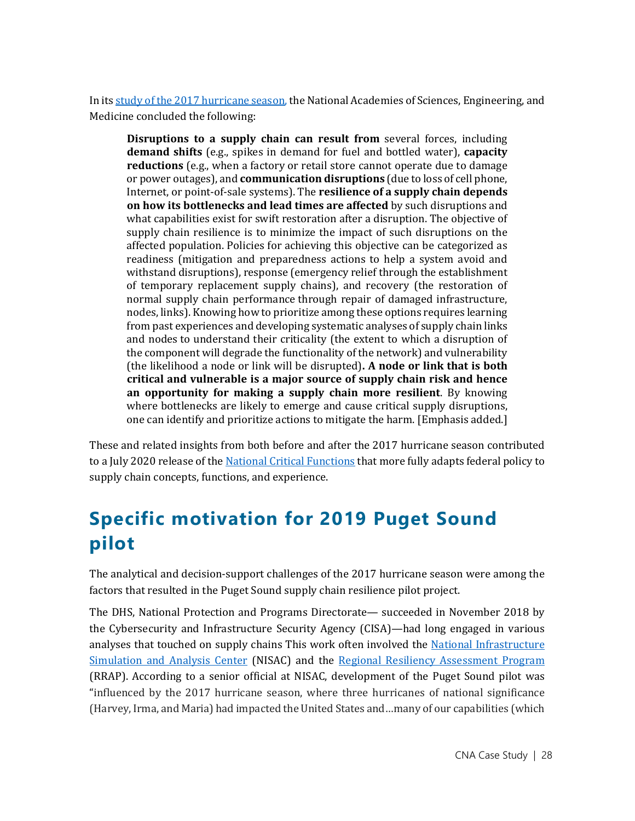In it[s study of the 2017 hurricane season,](https://www.nap.edu/read/25490/chapter/1) the National Academies of Sciences, Engineering, and Medicine concluded the following:

**Disruptions to a supply chain can result from** several forces, including **demand shifts** (e.g., spikes in demand for fuel and bottled water), **capacity reductions** (e.g., when a factory or retail store cannot operate due to damage or power outages), and **communication disruptions** (due to loss of cell phone, Internet, or point-of-sale systems). The **resilience of a supply chain depends on how its bottlenecks and lead times are affected** by such disruptions and what capabilities exist for swift restoration after a disruption. The objective of supply chain resilience is to minimize the impact of such disruptions on the affected population. Policies for achieving this objective can be categorized as readiness (mitigation and preparedness actions to help a system avoid and withstand disruptions), response (emergency relief through the establishment of temporary replacement supply chains), and recovery (the restoration of normal supply chain performance through repair of damaged infrastructure, nodes, links). Knowing how to prioritize among these options requires learning from past experiences and developing systematic analyses of supply chain links and nodes to understand their criticality (the extent to which a disruption of the component will degrade the functionality of the network) and vulnerability (the likelihood a node or link will be disrupted)**. A node or link that is both critical and vulnerable is a major source of supply chain risk and hence an opportunity for making a supply chain more resilient**. By knowing where bottlenecks are likely to emerge and cause critical supply disruptions, one can identify and prioritize actions to mitigate the harm. [Emphasis added.]

These and related insights from both before and after the 2017 hurricane season contributed to a July 2020 release of th[e National Critical Functions](https://www.cisa.gov/sites/default/files/publications/ncf-status-update-to-critical-infrastructure-community_508.pdf) that more fully adapts federal policy to supply chain concepts, functions, and experience.

## <span id="page-31-0"></span>**Specific motivation for 2019 Puget Sound pilot**

The analytical and decision-support challenges of the 2017 hurricane season were among the factors that resulted in the Puget Sound supply chain resilience pilot project.

The DHS, National Protection and Programs Directorate— succeeded in November 2018 by the Cybersecurity and Infrastructure Security Agency (CISA)—had long engaged in various analyses that touched on supply chains This work often involved the National Infrastructure [Simulation and Analysis Center](https://www.cisa.gov/NISAC) (NISAC) and the [Regional Resiliency Assessment Program](https://www.cisa.gov/regional-resiliency-assessment-program) (RRAP). According to a senior official at NISAC, development of the Puget Sound pilot was "influenced by the 2017 hurricane season, where three hurricanes of national significance (Harvey, Irma, and Maria) had impacted the United States and…many of our capabilities (which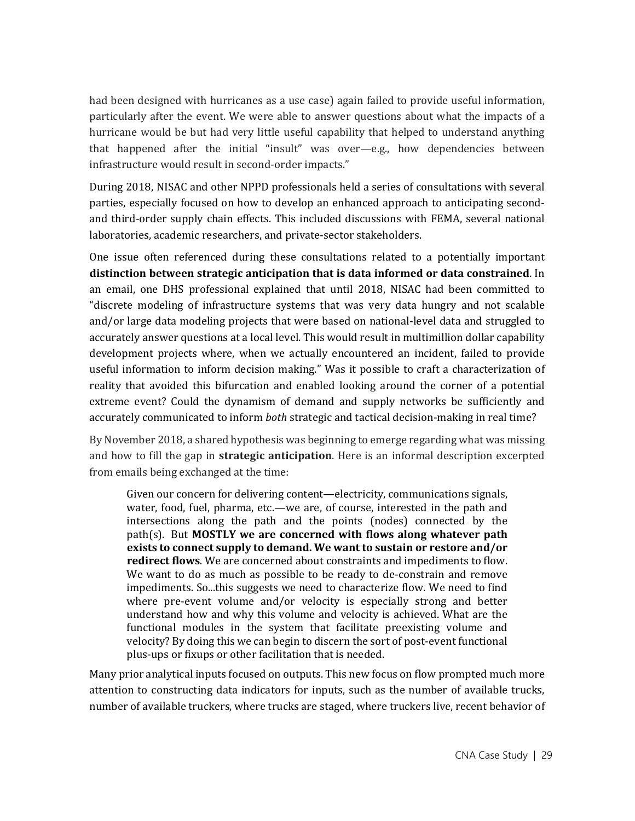had been designed with hurricanes as a use case) again failed to provide useful information, particularly after the event. We were able to answer questions about what the impacts of a hurricane would be but had very little useful capability that helped to understand anything that happened after the initial "insult" was over—e.g., how dependencies between infrastructure would result in second-order impacts."

During 2018, NISAC and other NPPD professionals held a series of consultations with several parties, especially focused on how to develop an enhanced approach to anticipating secondand third-order supply chain effects. This included discussions with FEMA, several national laboratories, academic researchers, and private-sector stakeholders.

One issue often referenced during these consultations related to a potentially important **distinction between strategic anticipation that is data informed or data constrained**. In an email, one DHS professional explained that until 2018, NISAC had been committed to "discrete modeling of infrastructure systems that was very data hungry and not scalable and/or large data modeling projects that were based on national-level data and struggled to accurately answer questions at a local level. This would result in multimillion dollar capability development projects where, when we actually encountered an incident, failed to provide useful information to inform decision making." Was it possible to craft a characterization of reality that avoided this bifurcation and enabled looking around the corner of a potential extreme event? Could the dynamism of demand and supply networks be sufficiently and accurately communicated to inform *both* strategic and tactical decision-making in real time?

By November 2018, a shared hypothesis was beginning to emerge regarding what was missing and how to fill the gap in **strategic anticipation**. Here is an informal description excerpted from emails being exchanged at the time:

Given our concern for delivering content—electricity, communications signals, water, food, fuel, pharma, etc.—we are, of course, interested in the path and intersections along the path and the points (nodes) connected by the path(s). But **MOSTLY we are concerned with flows along whatever path exists to connect supply to demand. We want to sustain or restore and/or redirect flows**. We are concerned about constraints and impediments to flow. We want to do as much as possible to be ready to de-constrain and remove impediments. So...this suggests we need to characterize flow. We need to find where pre-event volume and/or velocity is especially strong and better understand how and why this volume and velocity is achieved. What are the functional modules in the system that facilitate preexisting volume and velocity? By doing this we can begin to discern the sort of post-event functional plus-ups or fixups or other facilitation that is needed.

Many prior analytical inputs focused on outputs. This new focus on flow prompted much more attention to constructing data indicators for inputs, such as the number of available trucks, number of available truckers, where trucks are staged, where truckers live, recent behavior of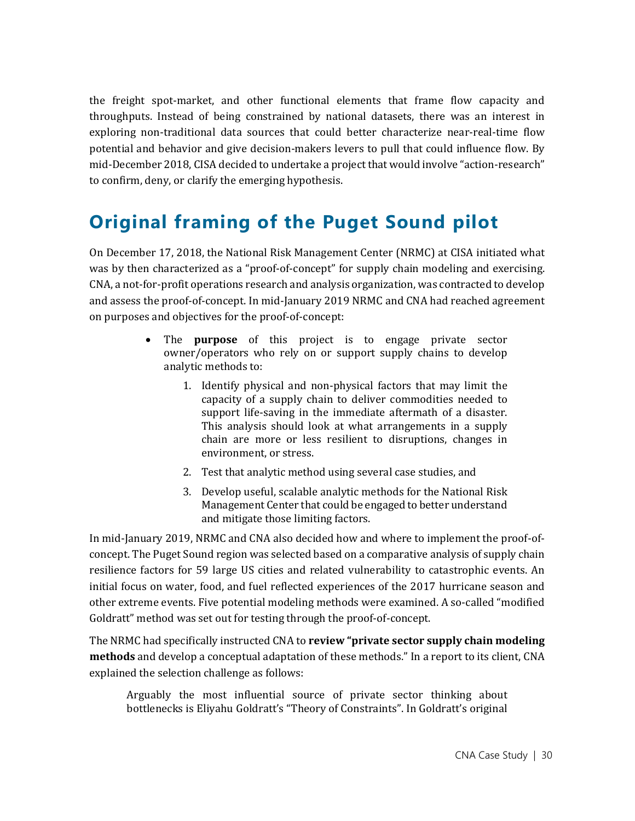the freight spot-market, and other functional elements that frame flow capacity and throughputs. Instead of being constrained by national datasets, there was an interest in exploring non-traditional data sources that could better characterize near-real-time flow potential and behavior and give decision-makers levers to pull that could influence flow. By mid-December 2018, CISA decided to undertake a project that would involve "action-research" to confirm, deny, or clarify the emerging hypothesis.

## <span id="page-33-0"></span>**Original framing of the Puget Sound pilot**

On December 17, 2018, the National Risk Management Center (NRMC) at CISA initiated what was by then characterized as a "proof-of-concept" for supply chain modeling and exercising. CNA, a not-for-profit operations research and analysis organization, was contracted to develop and assess the proof-of-concept. In mid-January 2019 NRMC and CNA had reached agreement on purposes and objectives for the proof-of-concept:

- The **purpose** of this project is to engage private sector owner/operators who rely on or support supply chains to develop analytic methods to:
	- 1. Identify physical and non-physical factors that may limit the capacity of a supply chain to deliver commodities needed to support life-saving in the immediate aftermath of a disaster. This analysis should look at what arrangements in a supply chain are more or less resilient to disruptions, changes in environment, or stress.
	- 2. Test that analytic method using several case studies, and
	- 3. Develop useful, scalable analytic methods for the National Risk Management Center that could be engaged to better understand and mitigate those limiting factors.

In mid-January 2019, NRMC and CNA also decided how and where to implement the proof-ofconcept. The Puget Sound region was selected based on a comparative analysis of supply chain resilience factors for 59 large US cities and related vulnerability to catastrophic events. An initial focus on water, food, and fuel reflected experiences of the 2017 hurricane season and other extreme events. Five potential modeling methods were examined. A so-called "modified Goldratt" method was set out for testing through the proof-of-concept.

The NRMC had specifically instructed CNA to **review "private sector supply chain modeling methods** and develop a conceptual adaptation of these methods." In a report to its client, CNA explained the selection challenge as follows:

Arguably the most influential source of private sector thinking about bottlenecks is Eliyahu Goldratt's "Theory of Constraints". In Goldratt's original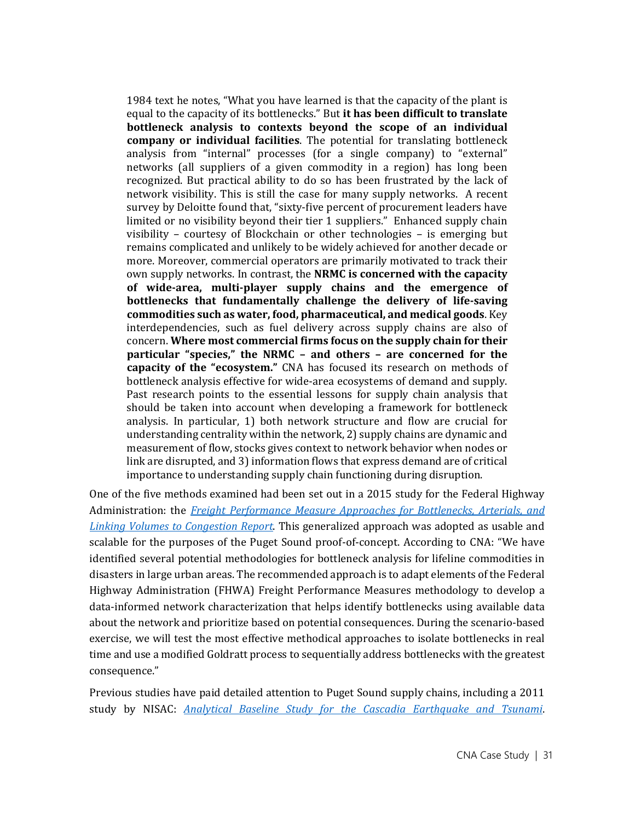1984 text he notes, "What you have learned is that the capacity of the plant is equal to the capacity of its bottlenecks." But **it has been difficult to translate bottleneck analysis to contexts beyond the scope of an individual company or individual facilities**. The potential for translating bottleneck analysis from "internal" processes (for a single company) to "external" networks (all suppliers of a given commodity in a region) has long been recognized. But practical ability to do so has been frustrated by the lack of network visibility. This is still the case for many supply networks. A recent survey by Deloitte found that, "sixty-five percent of procurement leaders have limited or no visibility beyond their tier 1 suppliers." Enhanced supply chain visibility – courtesy of Blockchain or other technologies – is emerging but remains complicated and unlikely to be widely achieved for another decade or more. Moreover, commercial operators are primarily motivated to track their own supply networks. In contrast, the **NRMC is concerned with the capacity of wide-area, multi-player supply chains and the emergence of bottlenecks that fundamentally challenge the delivery of life-saving commodities such as water, food, pharmaceutical, and medical goods**. Key interdependencies, such as fuel delivery across supply chains are also of concern. **Where most commercial firms focus on the supply chain for their particular "species," the NRMC – and others – are concerned for the capacity of the "ecosystem."** CNA has focused its research on methods of bottleneck analysis effective for wide-area ecosystems of demand and supply. Past research points to the essential lessons for supply chain analysis that should be taken into account when developing a framework for bottleneck analysis. In particular, 1) both network structure and flow are crucial for understanding centrality within the network, 2) supply chains are dynamic and measurement of flow, stocks gives context to network behavior when nodes or link are disrupted, and 3) information flows that express demand are of critical importance to understanding supply chain functioning during disruption.

One of the five methods examined had been set out in a 2015 study for the Federal Highway Administration: the *[Freight Performance Measure Approaches for Bottlenecks, Arterials, and](https://ops.fhwa.dot.gov/publications/fhwahop15033/index.htm)  [Linking Volumes to Congestion Report](https://ops.fhwa.dot.gov/publications/fhwahop15033/index.htm)*. This generalized approach was adopted as usable and scalable for the purposes of the Puget Sound proof-of-concept. According to CNA: "We have identified several potential methodologies for bottleneck analysis for lifeline commodities in disasters in large urban areas. The recommended approach is to adapt elements of the Federal Highway Administration (FHWA) Freight Performance Measures methodology to develop a data-informed network characterization that helps identify bottlenecks using available data about the network and prioritize based on potential consequences. During the scenario-based exercise, we will test the most effective methodical approaches to isolate bottlenecks in real time and use a modified Goldratt process to sequentially address bottlenecks with the greatest consequence."

Previous studies have paid detailed attention to Puget Sound supply chains, including a 2011 study by NISAC: *[Analytical Baseline Study for the Cascadia Earthquake and Tsunami](https://www.bluestonehockley.com/wp-content/uploads/2016/01/FEMA-earthquake-study.pdf)*.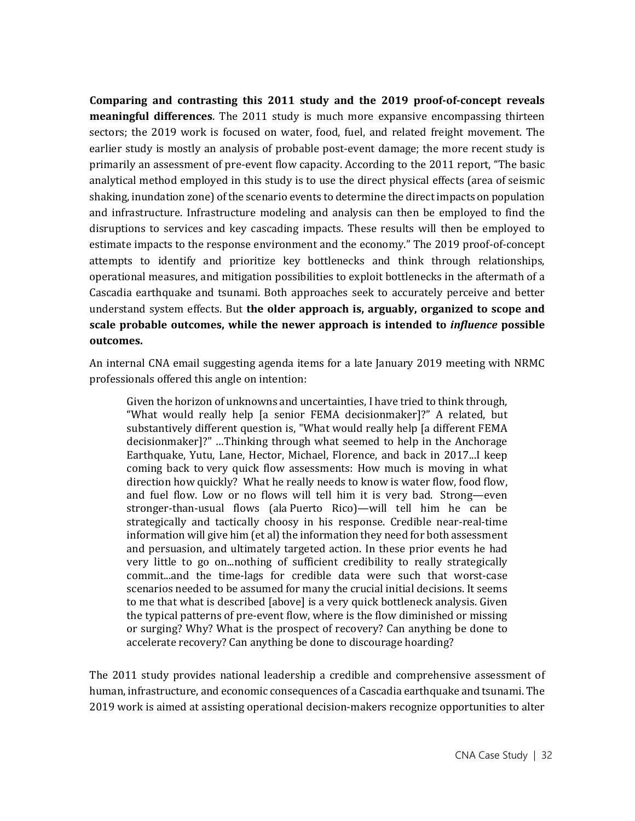**Comparing and contrasting this 2011 study and the 2019 proof-of-concept reveals meaningful differences**. The 2011 study is much more expansive encompassing thirteen sectors; the 2019 work is focused on water, food, fuel, and related freight movement. The earlier study is mostly an analysis of probable post-event damage; the more recent study is primarily an assessment of pre-event flow capacity. According to the 2011 report, "The basic analytical method employed in this study is to use the direct physical effects (area of seismic shaking, inundation zone) of the scenario events to determine the direct impacts on population and infrastructure. Infrastructure modeling and analysis can then be employed to find the disruptions to services and key cascading impacts. These results will then be employed to estimate impacts to the response environment and the economy." The 2019 proof-of-concept attempts to identify and prioritize key bottlenecks and think through relationships, operational measures, and mitigation possibilities to exploit bottlenecks in the aftermath of a Cascadia earthquake and tsunami. Both approaches seek to accurately perceive and better understand system effects. But **the older approach is, arguably, organized to scope and scale probable outcomes, while the newer approach is intended to** *influence* **possible outcomes.**

An internal CNA email suggesting agenda items for a late January 2019 meeting with NRMC professionals offered this angle on intention:

Given the horizon of unknowns and uncertainties, I have tried to think through, "What would really help [a senior FEMA decisionmaker]?" A related, but substantively different question is, "What would really help [a different FEMA decisionmaker]?" …Thinking through what seemed to help in the Anchorage Earthquake, Yutu, Lane, Hector, Michael, Florence, and back in 2017...I keep coming back to very quick flow assessments: How much is moving in what direction how quickly? What he really needs to know is water flow, food flow, and fuel flow. Low or no flows will tell him it is very bad. Strong—even stronger-than-usual flows (ala Puerto Rico)—will tell him he can be strategically and tactically choosy in his response. Credible near-real-time information will give him (et al) the information they need for both assessment and persuasion, and ultimately targeted action. In these prior events he had very little to go on...nothing of sufficient credibility to really strategically commit...and the time-lags for credible data were such that worst-case scenarios needed to be assumed for many the crucial initial decisions. It seems to me that what is described [above] is a very quick bottleneck analysis. Given the typical patterns of pre-event flow, where is the flow diminished or missing or surging? Why? What is the prospect of recovery? Can anything be done to accelerate recovery? Can anything be done to discourage hoarding?

The 2011 study provides national leadership a credible and comprehensive assessment of human, infrastructure, and economic consequences of a Cascadia earthquake and tsunami. The 2019 work is aimed at assisting operational decision-makers recognize opportunities to alter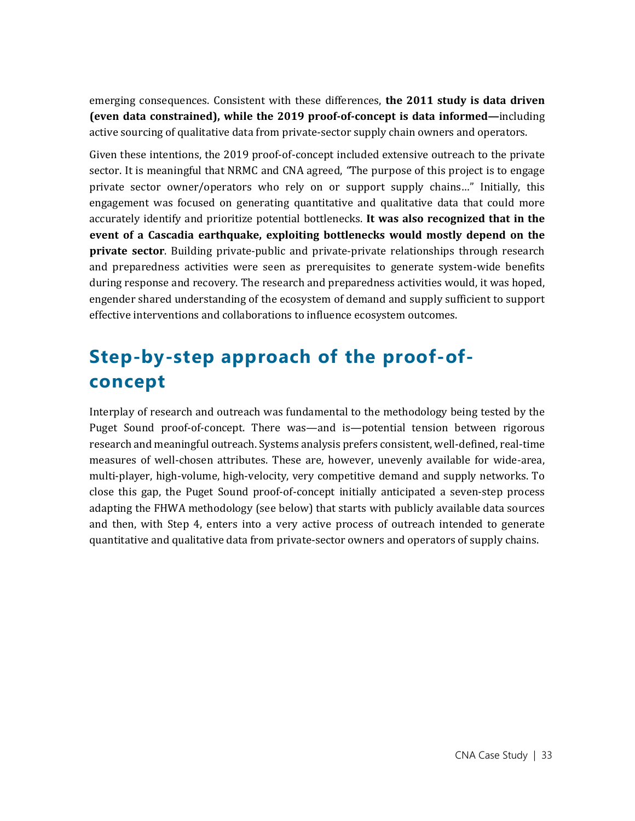emerging consequences. Consistent with these differences, **the 2011 study is data driven (even data constrained), while the 2019 proof-of-concept is data informed—**including active sourcing of qualitative data from private-sector supply chain owners and operators.

Given these intentions, the 2019 proof-of-concept included extensive outreach to the private sector. It is meaningful that NRMC and CNA agreed, *"*The purpose of this project is to engage private sector owner/operators who rely on or support supply chains…" Initially, this engagement was focused on generating quantitative and qualitative data that could more accurately identify and prioritize potential bottlenecks. **It was also recognized that in the event of a Cascadia earthquake, exploiting bottlenecks would mostly depend on the private sector**. Building private-public and private-private relationships through research and preparedness activities were seen as prerequisites to generate system-wide benefits during response and recovery. The research and preparedness activities would, it was hoped, engender shared understanding of the ecosystem of demand and supply sufficient to support effective interventions and collaborations to influence ecosystem outcomes.

### <span id="page-36-0"></span>**Step-by-step approach of the proof-ofconcept**

Interplay of research and outreach was fundamental to the methodology being tested by the Puget Sound proof-of-concept. There was—and is—potential tension between rigorous research and meaningful outreach. Systems analysis prefers consistent, well-defined, real-time measures of well-chosen attributes. These are, however, unevenly available for wide-area, multi-player, high-volume, high-velocity, very competitive demand and supply networks. To close this gap, the Puget Sound proof-of-concept initially anticipated a seven-step process adapting the FHWA methodology (see below) that starts with publicly available data sources and then, with Step 4, enters into a very active process of outreach intended to generate quantitative and qualitative data from private-sector owners and operators of supply chains.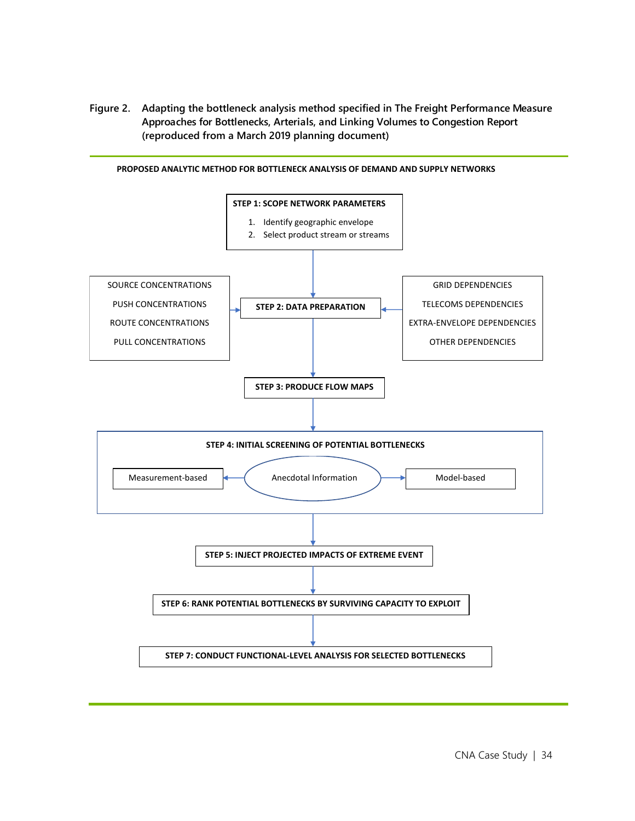**Figure 2. Adapting the bottleneck analysis method specified in The Freight Performance Measure Approaches for Bottlenecks, Arterials, and Linking Volumes to Congestion Report (reproduced from a March 2019 planning document)**



**PROPOSED ANALYTIC METHOD FOR BOTTLENECK ANALYSIS OF DEMAND AND SUPPLY NETWORKS**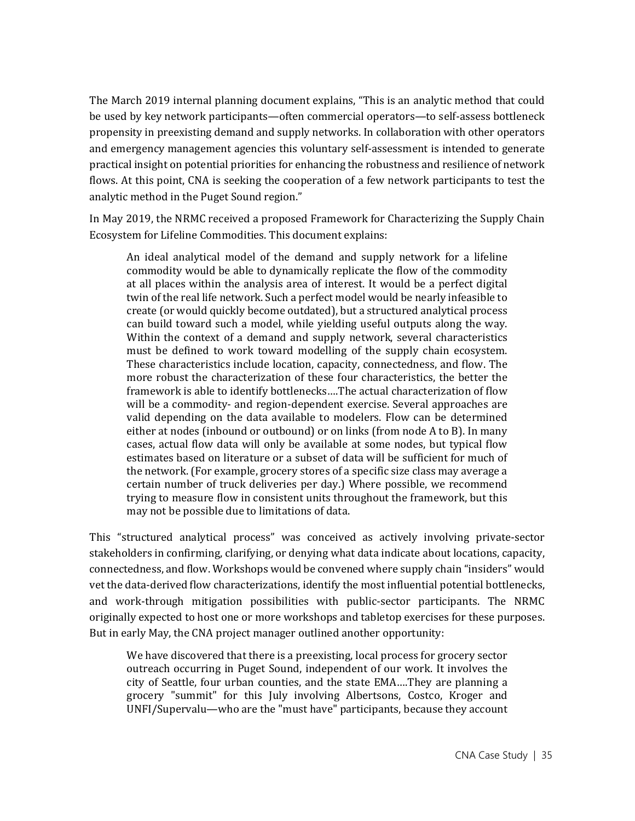The March 2019 internal planning document explains, "This is an analytic method that could be used by key network participants—often commercial operators—to self-assess bottleneck propensity in preexisting demand and supply networks. In collaboration with other operators and emergency management agencies this voluntary self-assessment is intended to generate practical insight on potential priorities for enhancing the robustness and resilience of network flows. At this point, CNA is seeking the cooperation of a few network participants to test the analytic method in the Puget Sound region."

In May 2019, the NRMC received a proposed Framework for Characterizing the Supply Chain Ecosystem for Lifeline Commodities. This document explains:

An ideal analytical model of the demand and supply network for a lifeline commodity would be able to dynamically replicate the flow of the commodity at all places within the analysis area of interest. It would be a perfect digital twin of the real life network. Such a perfect model would be nearly infeasible to create (or would quickly become outdated), but a structured analytical process can build toward such a model, while yielding useful outputs along the way. Within the context of a demand and supply network, several characteristics must be defined to work toward modelling of the supply chain ecosystem. These characteristics include location, capacity, connectedness, and flow. The more robust the characterization of these four characteristics, the better the framework is able to identify bottlenecks….The actual characterization of flow will be a commodity- and region-dependent exercise. Several approaches are valid depending on the data available to modelers. Flow can be determined either at nodes (inbound or outbound) or on links (from node A to B). In many cases, actual flow data will only be available at some nodes, but typical flow estimates based on literature or a subset of data will be sufficient for much of the network. (For example, grocery stores of a specific size class may average a certain number of truck deliveries per day.) Where possible, we recommend trying to measure flow in consistent units throughout the framework, but this may not be possible due to limitations of data.

This "structured analytical process" was conceived as actively involving private-sector stakeholders in confirming, clarifying, or denying what data indicate about locations, capacity, connectedness, and flow. Workshops would be convened where supply chain "insiders" would vet the data-derived flow characterizations, identify the most influential potential bottlenecks, and work-through mitigation possibilities with public-sector participants. The NRMC originally expected to host one or more workshops and tabletop exercises for these purposes. But in early May, the CNA project manager outlined another opportunity:

We have discovered that there is a preexisting, local process for grocery sector outreach occurring in Puget Sound, independent of our work. It involves the city of Seattle, four urban counties, and the state EMA….They are planning a grocery "summit" for this July involving Albertsons, Costco, Kroger and UNFI/Supervalu—who are the "must have" participants, because they account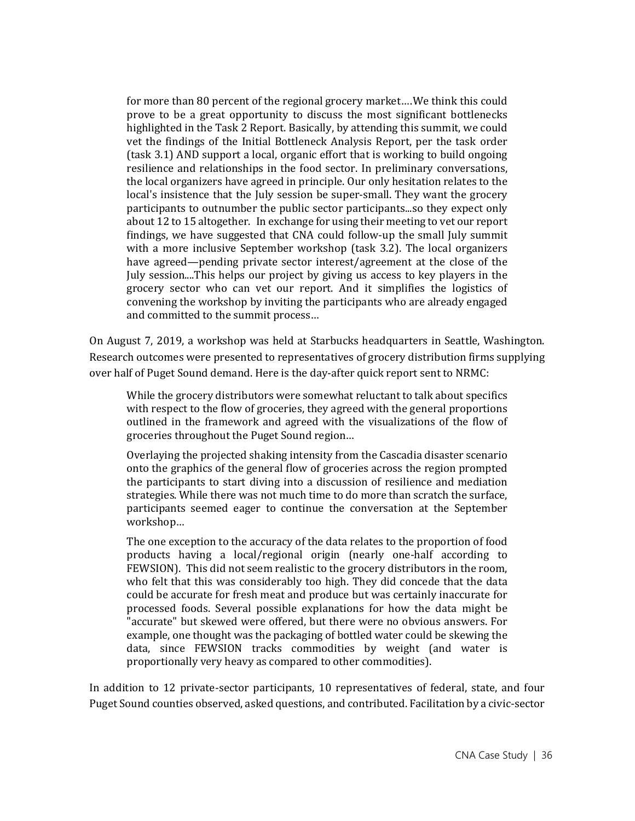for more than 80 percent of the regional grocery market….We think this could prove to be a great opportunity to discuss the most significant bottlenecks highlighted in the Task 2 Report. Basically, by attending this summit, we could vet the findings of the Initial Bottleneck Analysis Report, per the task order (task 3.1) AND support a local, organic effort that is working to build ongoing resilience and relationships in the food sector. In preliminary conversations, the local organizers have agreed in principle. Our only hesitation relates to the local's insistence that the July session be super-small. They want the grocery participants to outnumber the public sector participants...so they expect only about 12 to 15 altogether. In exchange for using their meeting to vet our report findings, we have suggested that CNA could follow-up the small July summit with a more inclusive September workshop (task 3.2). The local organizers have agreed—pending private sector interest/agreement at the close of the July session....This helps our project by giving us access to key players in the grocery sector who can vet our report. And it simplifies the logistics of convening the workshop by inviting the participants who are already engaged and committed to the summit process…

On August 7, 2019, a workshop was held at Starbucks headquarters in Seattle, Washington. Research outcomes were presented to representatives of grocery distribution firms supplying over half of Puget Sound demand. Here is the day-after quick report sent to NRMC:

While the grocery distributors were somewhat reluctant to talk about specifics with respect to the flow of groceries, they agreed with the general proportions outlined in the framework and agreed with the visualizations of the flow of groceries throughout the Puget Sound region…

Overlaying the projected shaking intensity from the Cascadia disaster scenario onto the graphics of the general flow of groceries across the region prompted the participants to start diving into a discussion of resilience and mediation strategies. While there was not much time to do more than scratch the surface, participants seemed eager to continue the conversation at the September workshop…

The one exception to the accuracy of the data relates to the proportion of food products having a local/regional origin (nearly one-half according to FEWSION). This did not seem realistic to the grocery distributors in the room, who felt that this was considerably too high. They did concede that the data could be accurate for fresh meat and produce but was certainly inaccurate for processed foods. Several possible explanations for how the data might be "accurate" but skewed were offered, but there were no obvious answers. For example, one thought was the packaging of bottled water could be skewing the data, since FEWSION tracks commodities by weight (and water is proportionally very heavy as compared to other commodities).

In addition to 12 private-sector participants, 10 representatives of federal, state, and four Puget Sound counties observed, asked questions, and contributed. Facilitation by a civic-sector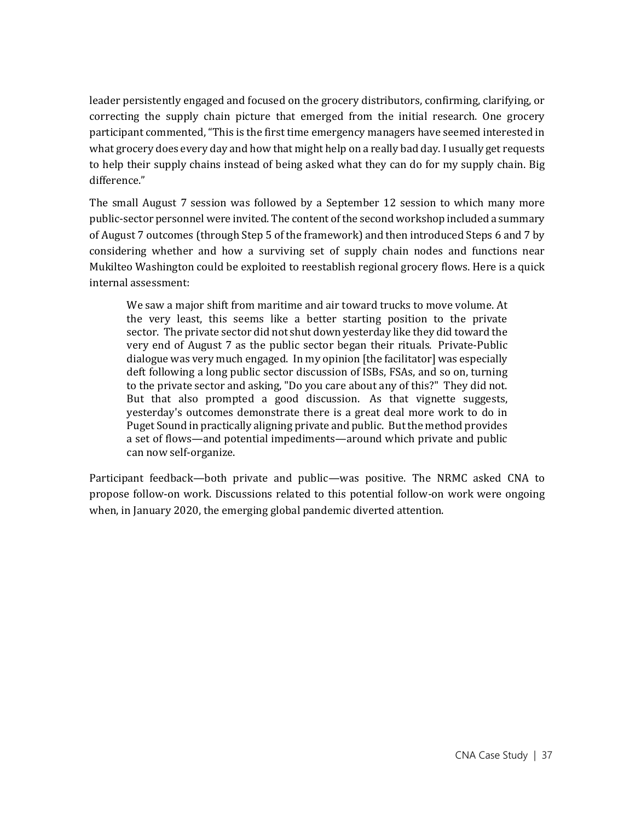leader persistently engaged and focused on the grocery distributors, confirming, clarifying, or correcting the supply chain picture that emerged from the initial research. One grocery participant commented, "This is the first time emergency managers have seemed interested in what grocery does every day and how that might help on a really bad day. I usually get requests to help their supply chains instead of being asked what they can do for my supply chain. Big difference."

The small August 7 session was followed by a September 12 session to which many more public-sector personnel were invited. The content of the second workshop included a summary of August 7 outcomes (through Step 5 of the framework) and then introduced Steps 6 and 7 by considering whether and how a surviving set of supply chain nodes and functions near Mukilteo Washington could be exploited to reestablish regional grocery flows. Here is a quick internal assessment:

We saw a major shift from maritime and air toward trucks to move volume. At the very least, this seems like a better starting position to the private sector. The private sector did not shut down yesterday like they did toward the very end of August 7 as the public sector began their rituals. Private-Public dialogue was very much engaged. In my opinion [the facilitator] was especially deft following a long public sector discussion of ISBs, FSAs, and so on, turning to the private sector and asking, "Do you care about any of this?" They did not. But that also prompted a good discussion. As that vignette suggests, yesterday's outcomes demonstrate there is a great deal more work to do in Puget Sound in practically aligning private and public. But the method provides a set of flows—and potential impediments—around which private and public can now self-organize.

Participant feedback—both private and public—was positive. The NRMC asked CNA to propose follow-on work. Discussions related to this potential follow-on work were ongoing when, in January 2020, the emerging global pandemic diverted attention.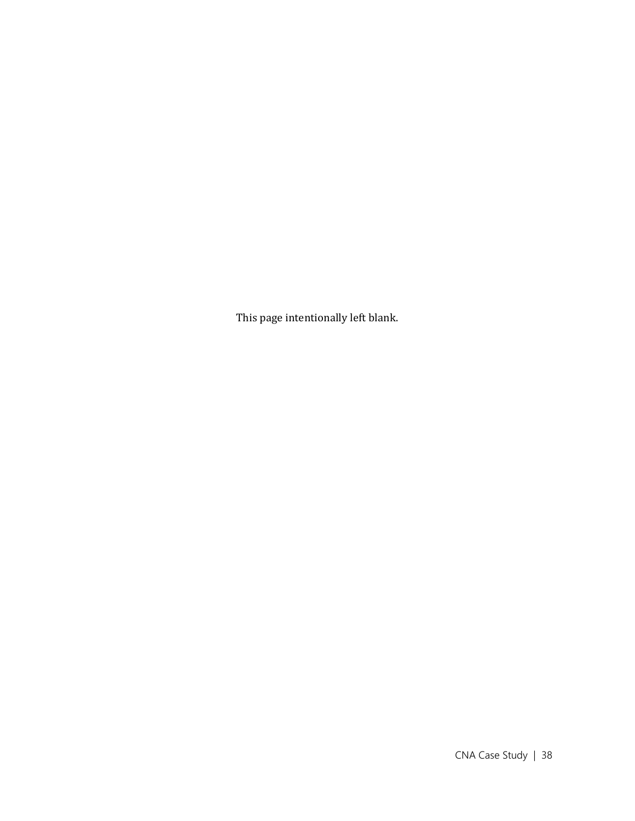This page intentionally left blank.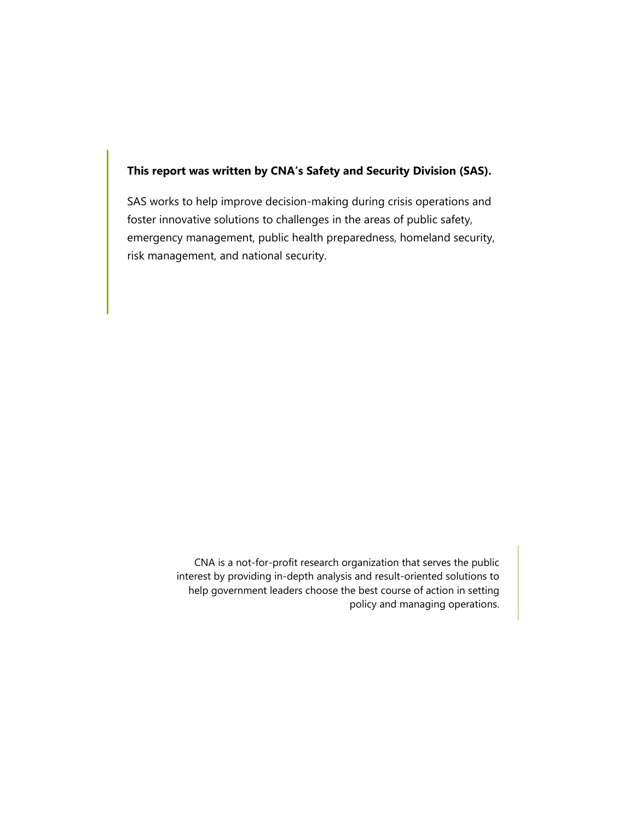### **This report was written by CNA's Safety and Security Division (SAS).**

SAS works to help improve decision-making during crisis operations and foster innovative solutions to challenges in the areas of public safety, emergency management, public health preparedness, homeland security, risk management, and national security.

> CNA is a not-for-profit research organization that serves the public interest by providing in-depth analysis and result-oriented solutions to help government leaders choose the best course of action in setting policy and managing operations.